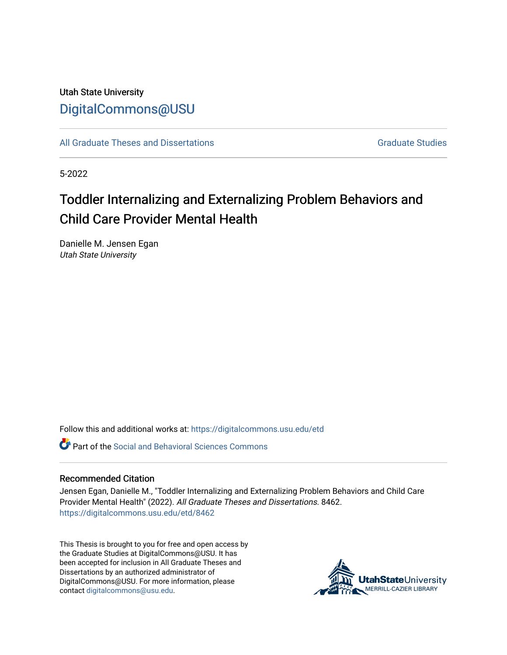Utah State University [DigitalCommons@USU](https://digitalcommons.usu.edu/)

[All Graduate Theses and Dissertations](https://digitalcommons.usu.edu/etd) Contract Contract Contract Craduate Studies

5-2022

# Toddler Internalizing and Externalizing Problem Behaviors and Child Care Provider Mental Health

Danielle M. Jensen Egan Utah State University

Follow this and additional works at: [https://digitalcommons.usu.edu/etd](https://digitalcommons.usu.edu/etd?utm_source=digitalcommons.usu.edu%2Fetd%2F8462&utm_medium=PDF&utm_campaign=PDFCoverPages) 

**P** Part of the Social and Behavioral Sciences Commons

### Recommended Citation

Jensen Egan, Danielle M., "Toddler Internalizing and Externalizing Problem Behaviors and Child Care Provider Mental Health" (2022). All Graduate Theses and Dissertations. 8462. [https://digitalcommons.usu.edu/etd/8462](https://digitalcommons.usu.edu/etd/8462?utm_source=digitalcommons.usu.edu%2Fetd%2F8462&utm_medium=PDF&utm_campaign=PDFCoverPages)

This Thesis is brought to you for free and open access by the Graduate Studies at DigitalCommons@USU. It has been accepted for inclusion in All Graduate Theses and Dissertations by an authorized administrator of DigitalCommons@USU. For more information, please contact [digitalcommons@usu.edu](mailto:digitalcommons@usu.edu).

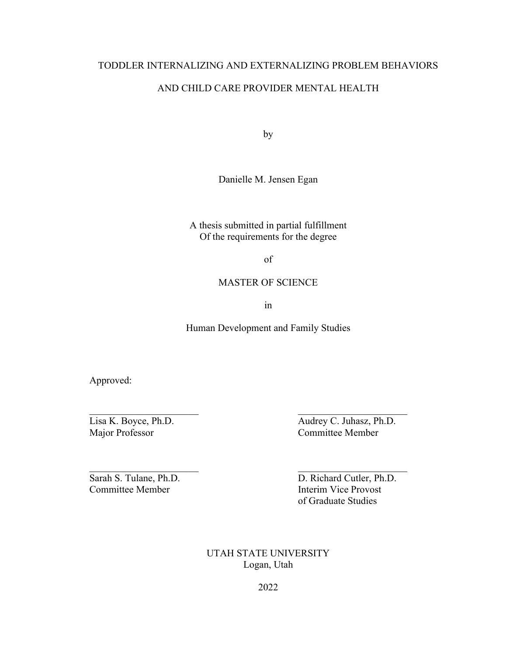# TODDLER INTERNALIZING AND EXTERNALIZING PROBLEM BEHAVIORS AND CHILD CARE PROVIDER MENTAL HEALTH

by

Danielle M. Jensen Egan

A thesis submitted in partial fulfillment Of the requirements for the degree

of

### MASTER OF SCIENCE

in

Human Development and Family Studies

Approved:

Major Professor Committee Member

Lisa K. Boyce, Ph.D. Audrey C. Juhasz, Ph.D.

Committee Member **Interim Vice Provost** 

Sarah S. Tulane, Ph.D. D. Richard Cutler, Ph.D. of Graduate Studies

> UTAH STATE UNIVERSITY Logan, Utah

> > 2022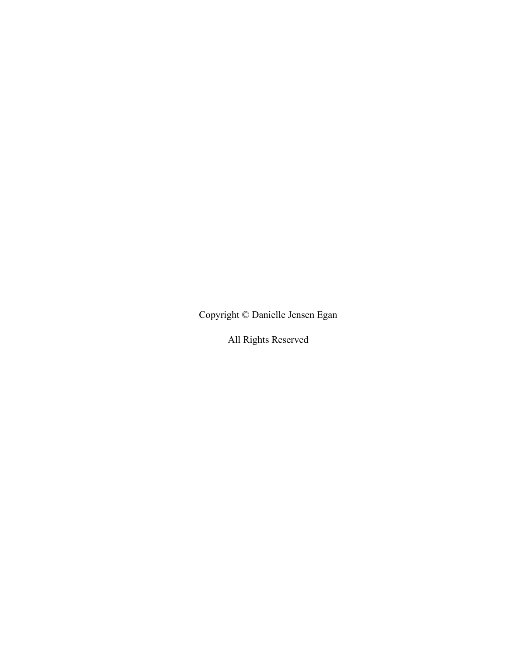Copyright © Danielle Jensen Egan

All Rights Reserved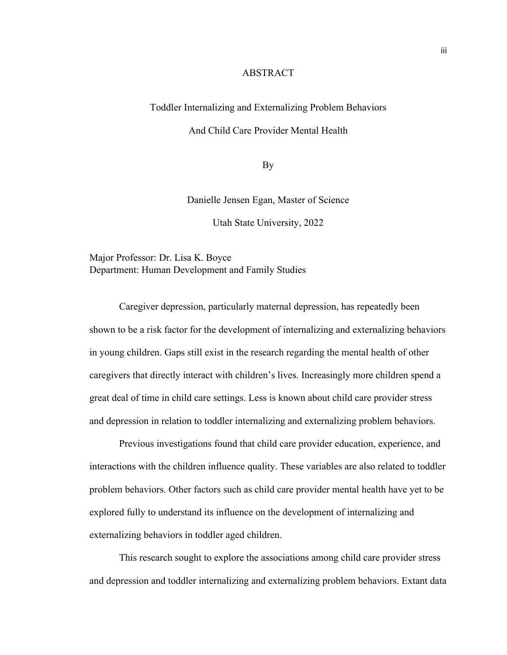### ABSTRACT

### <span id="page-3-0"></span>Toddler Internalizing and Externalizing Problem Behaviors

### And Child Care Provider Mental Health

By

Danielle Jensen Egan, Master of Science

Utah State University, 2022

Major Professor: Dr. Lisa K. Boyce Department: Human Development and Family Studies

Caregiver depression, particularly maternal depression, has repeatedly been shown to be a risk factor for the development of internalizing and externalizing behaviors in young children. Gaps still exist in the research regarding the mental health of other caregivers that directly interact with children's lives. Increasingly more children spend a great deal of time in child care settings. Less is known about child care provider stress and depression in relation to toddler internalizing and externalizing problem behaviors.

Previous investigations found that child care provider education, experience, and interactions with the children influence quality. These variables are also related to toddler problem behaviors. Other factors such as child care provider mental health have yet to be explored fully to understand its influence on the development of internalizing and externalizing behaviors in toddler aged children.

This research sought to explore the associations among child care provider stress and depression and toddler internalizing and externalizing problem behaviors. Extant data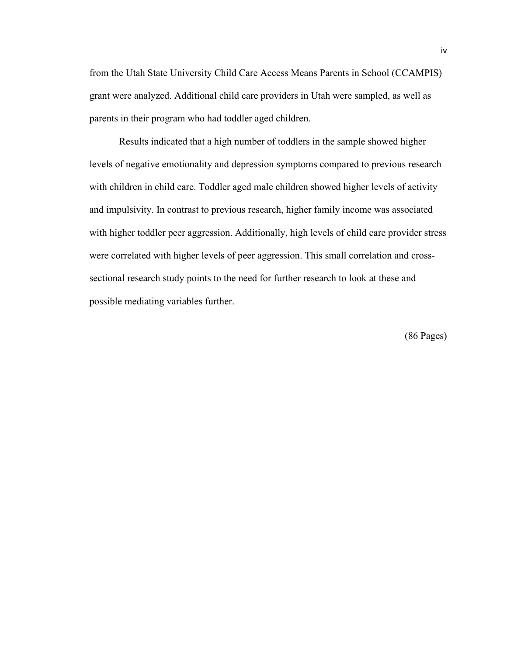from the Utah State University Child Care Access Means Parents in School (CCAMPIS) grant were analyzed. Additional child care providers in Utah were sampled, as well as parents in their program who had toddler aged children.

Results indicated that a high number of toddlers in the sample showed higher levels of negative emotionality and depression symptoms compared to previous research with children in child care. Toddler aged male children showed higher levels of activity and impulsivity. In contrast to previous research, higher family income was associated with higher toddler peer aggression. Additionally, high levels of child care provider stress were correlated with higher levels of peer aggression. This small correlation and crosssectional research study points to the need for further research to look at these and possible mediating variables further.

(86 Pages)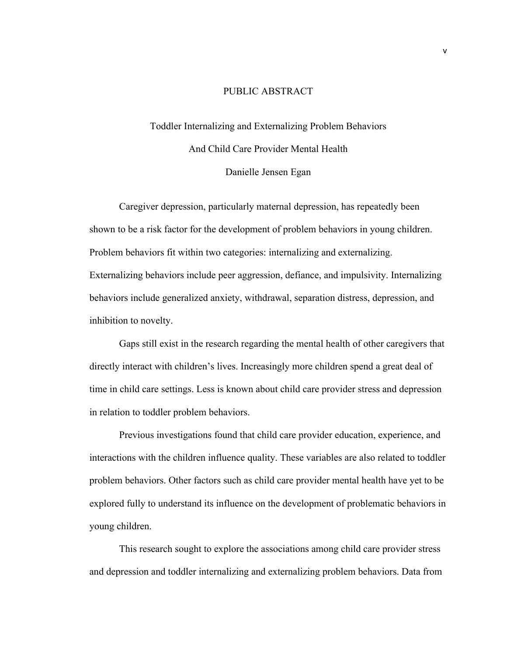### PUBLIC ABSTRACT

<span id="page-5-0"></span>Toddler Internalizing and Externalizing Problem Behaviors And Child Care Provider Mental Health Danielle Jensen Egan

Caregiver depression, particularly maternal depression, has repeatedly been shown to be a risk factor for the development of problem behaviors in young children. Problem behaviors fit within two categories: internalizing and externalizing. Externalizing behaviors include peer aggression, defiance, and impulsivity. Internalizing behaviors include generalized anxiety, withdrawal, separation distress, depression, and inhibition to novelty.

Gaps still exist in the research regarding the mental health of other caregivers that directly interact with children's lives. Increasingly more children spend a great deal of time in child care settings. Less is known about child care provider stress and depression in relation to toddler problem behaviors.

Previous investigations found that child care provider education, experience, and interactions with the children influence quality. These variables are also related to toddler problem behaviors. Other factors such as child care provider mental health have yet to be explored fully to understand its influence on the development of problematic behaviors in young children.

This research sought to explore the associations among child care provider stress and depression and toddler internalizing and externalizing problem behaviors. Data from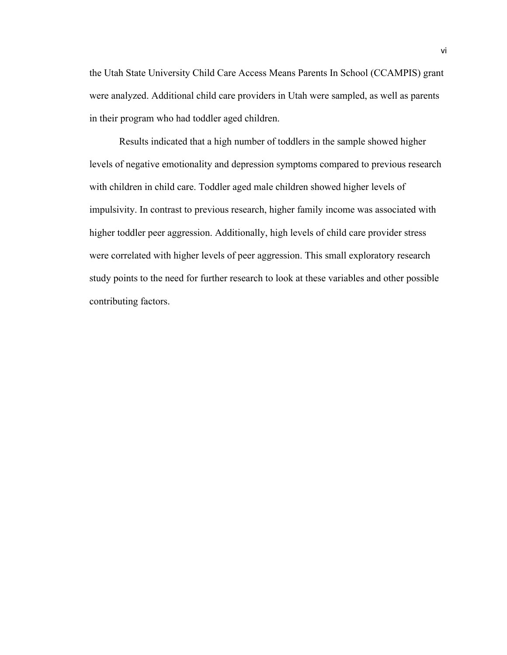the Utah State University Child Care Access Means Parents In School (CCAMPIS) grant were analyzed. Additional child care providers in Utah were sampled, as well as parents in their program who had toddler aged children.

Results indicated that a high number of toddlers in the sample showed higher levels of negative emotionality and depression symptoms compared to previous research with children in child care. Toddler aged male children showed higher levels of impulsivity. In contrast to previous research, higher family income was associated with higher toddler peer aggression. Additionally, high levels of child care provider stress were correlated with higher levels of peer aggression. This small exploratory research study points to the need for further research to look at these variables and other possible contributing factors.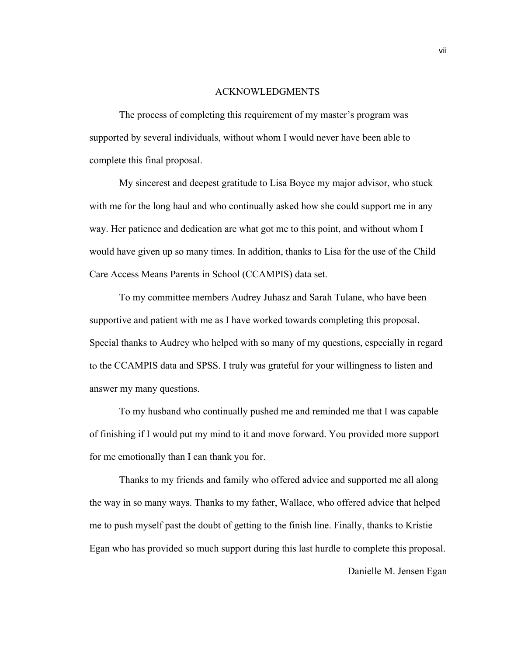#### ACKNOWLEDGMENTS

<span id="page-7-0"></span>The process of completing this requirement of my master's program was supported by several individuals, without whom I would never have been able to complete this final proposal.

My sincerest and deepest gratitude to Lisa Boyce my major advisor, who stuck with me for the long haul and who continually asked how she could support me in any way. Her patience and dedication are what got me to this point, and without whom I would have given up so many times. In addition, thanks to Lisa for the use of the Child Care Access Means Parents in School (CCAMPIS) data set.

To my committee members Audrey Juhasz and Sarah Tulane, who have been supportive and patient with me as I have worked towards completing this proposal. Special thanks to Audrey who helped with so many of my questions, especially in regard to the CCAMPIS data and SPSS. I truly was grateful for your willingness to listen and answer my many questions.

To my husband who continually pushed me and reminded me that I was capable of finishing if I would put my mind to it and move forward. You provided more support for me emotionally than I can thank you for.

Thanks to my friends and family who offered advice and supported me all along the way in so many ways. Thanks to my father, Wallace, who offered advice that helped me to push myself past the doubt of getting to the finish line. Finally, thanks to Kristie Egan who has provided so much support during this last hurdle to complete this proposal.

Danielle M. Jensen Egan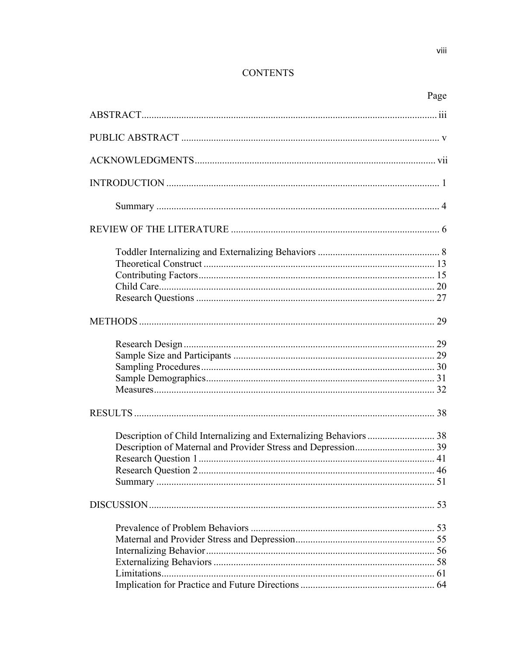## **CONTENTS**

|                                                                    | Page |
|--------------------------------------------------------------------|------|
|                                                                    |      |
|                                                                    |      |
|                                                                    |      |
|                                                                    |      |
|                                                                    |      |
|                                                                    |      |
|                                                                    |      |
|                                                                    |      |
|                                                                    |      |
|                                                                    |      |
|                                                                    |      |
|                                                                    |      |
|                                                                    |      |
|                                                                    |      |
|                                                                    |      |
|                                                                    |      |
|                                                                    |      |
|                                                                    |      |
|                                                                    |      |
| Description of Child Internalizing and Externalizing Behaviors  38 |      |
|                                                                    |      |
|                                                                    |      |
|                                                                    |      |
|                                                                    |      |
|                                                                    |      |
|                                                                    |      |
|                                                                    |      |
|                                                                    |      |
|                                                                    |      |
|                                                                    |      |
|                                                                    |      |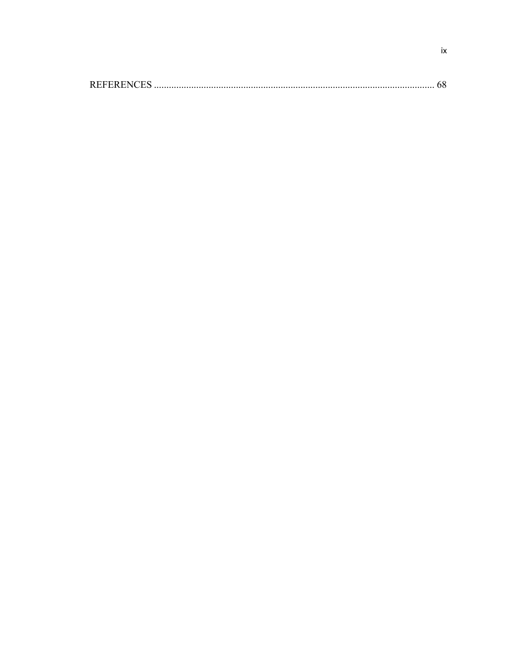|--|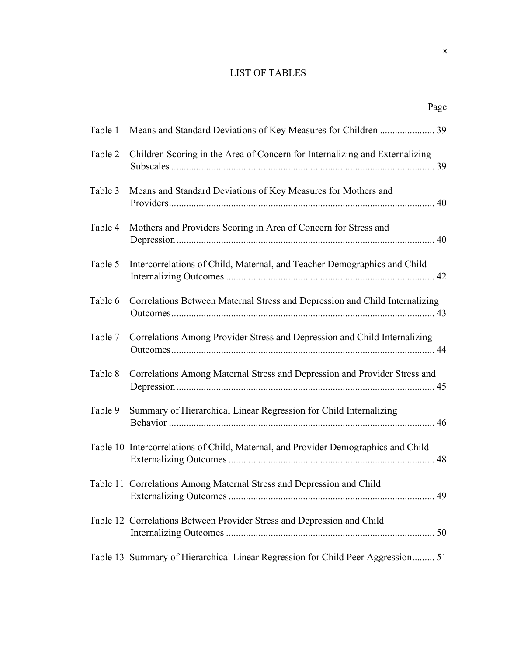### LIST OF TABLES

| Table 1 | Means and Standard Deviations of Key Measures for Children  39                     |
|---------|------------------------------------------------------------------------------------|
| Table 2 | Children Scoring in the Area of Concern for Internalizing and Externalizing        |
| Table 3 | Means and Standard Deviations of Key Measures for Mothers and                      |
| Table 4 | Mothers and Providers Scoring in Area of Concern for Stress and                    |
| Table 5 | Intercorrelations of Child, Maternal, and Teacher Demographics and Child           |
| Table 6 | Correlations Between Maternal Stress and Depression and Child Internalizing        |
| Table 7 | Correlations Among Provider Stress and Depression and Child Internalizing          |
| Table 8 | Correlations Among Maternal Stress and Depression and Provider Stress and          |
| Table 9 | Summary of Hierarchical Linear Regression for Child Internalizing                  |
|         | Table 10 Intercorrelations of Child, Maternal, and Provider Demographics and Child |
|         | Table 11 Correlations Among Maternal Stress and Depression and Child               |
|         | Table 12 Correlations Between Provider Stress and Depression and Child             |
|         | Table 13 Summary of Hierarchical Linear Regression for Child Peer Aggression 51    |

Page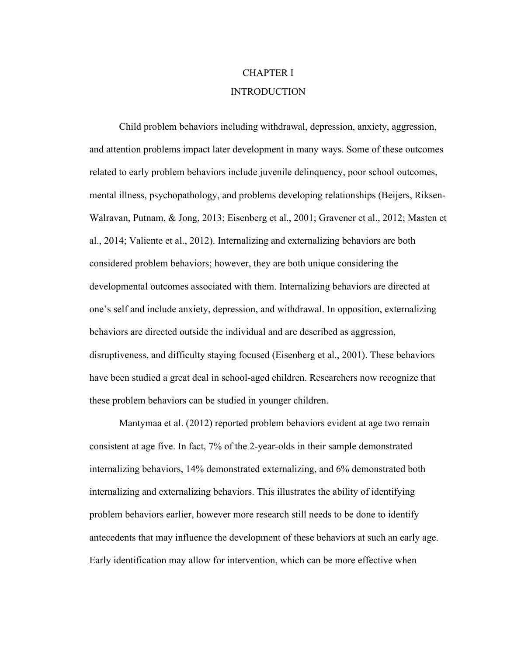# CHAPTER I INTRODUCTION

<span id="page-11-0"></span>Child problem behaviors including withdrawal, depression, anxiety, aggression, and attention problems impact later development in many ways. Some of these outcomes related to early problem behaviors include juvenile delinquency, poor school outcomes, mental illness, psychopathology, and problems developing relationships (Beijers, Riksen-Walravan, Putnam, & Jong, 2013; Eisenberg et al., 2001; Gravener et al., 2012; Masten et al., 2014; Valiente et al., 2012). Internalizing and externalizing behaviors are both considered problem behaviors; however, they are both unique considering the developmental outcomes associated with them. Internalizing behaviors are directed at one's self and include anxiety, depression, and withdrawal. In opposition, externalizing behaviors are directed outside the individual and are described as aggression, disruptiveness, and difficulty staying focused (Eisenberg et al., 2001). These behaviors have been studied a great deal in school-aged children. Researchers now recognize that these problem behaviors can be studied in younger children.

Mantymaa et al. (2012) reported problem behaviors evident at age two remain consistent at age five. In fact, 7% of the 2-year-olds in their sample demonstrated internalizing behaviors, 14% demonstrated externalizing, and 6% demonstrated both internalizing and externalizing behaviors. This illustrates the ability of identifying problem behaviors earlier, however more research still needs to be done to identify antecedents that may influence the development of these behaviors at such an early age. Early identification may allow for intervention, which can be more effective when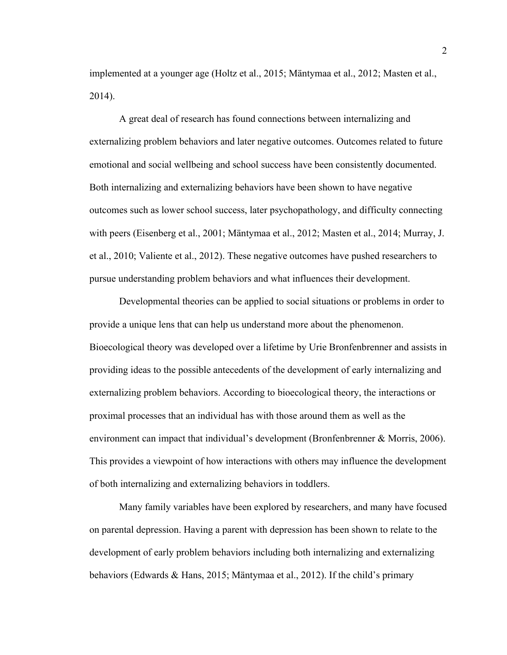implemented at a younger age (Holtz et al., 2015; Mäntymaa et al., 2012; Masten et al., 2014).

A great deal of research has found connections between internalizing and externalizing problem behaviors and later negative outcomes. Outcomes related to future emotional and social wellbeing and school success have been consistently documented. Both internalizing and externalizing behaviors have been shown to have negative outcomes such as lower school success, later psychopathology, and difficulty connecting with peers (Eisenberg et al., 2001; Mäntymaa et al., 2012; Masten et al., 2014; Murray, J. et al., 2010; Valiente et al., 2012). These negative outcomes have pushed researchers to pursue understanding problem behaviors and what influences their development.

Developmental theories can be applied to social situations or problems in order to provide a unique lens that can help us understand more about the phenomenon. Bioecological theory was developed over a lifetime by Urie Bronfenbrenner and assists in providing ideas to the possible antecedents of the development of early internalizing and externalizing problem behaviors. According to bioecological theory, the interactions or proximal processes that an individual has with those around them as well as the environment can impact that individual's development (Bronfenbrenner & Morris, 2006). This provides a viewpoint of how interactions with others may influence the development of both internalizing and externalizing behaviors in toddlers.

Many family variables have been explored by researchers, and many have focused on parental depression. Having a parent with depression has been shown to relate to the development of early problem behaviors including both internalizing and externalizing behaviors (Edwards & Hans, 2015; Mäntymaa et al., 2012). If the child's primary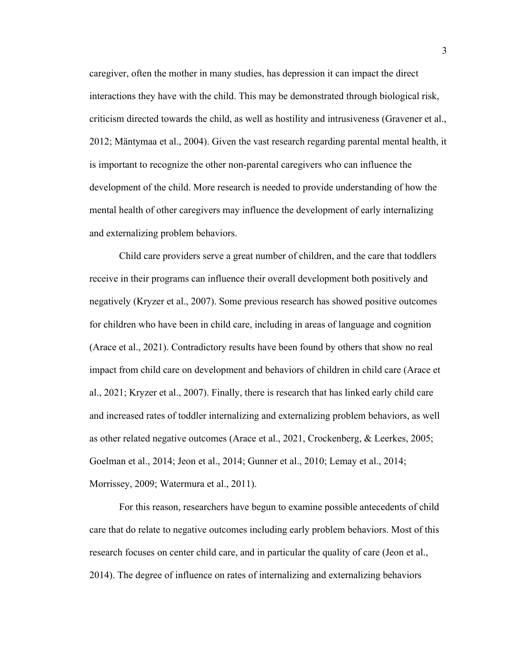caregiver, often the mother in many studies, has depression it can impact the direct interactions they have with the child. This may be demonstrated through biological risk, criticism directed towards the child, as well as hostility and intrusiveness (Gravener et al., 2012; Mäntymaa et al., 2004). Given the vast research regarding parental mental health, it is important to recognize the other non-parental caregivers who can influence the development of the child. More research is needed to provide understanding of how the mental health of other caregivers may influence the development of early internalizing and externalizing problem behaviors.

Child care providers serve a great number of children, and the care that toddlers receive in their programs can influence their overall development both positively and negatively (Kryzer et al., 2007). Some previous research has showed positive outcomes for children who have been in child care, including in areas of language and cognition (Arace et al., 2021). Contradictory results have been found by others that show no real impact from child care on development and behaviors of children in child care (Arace et al., 2021; Kryzer et al., 2007). Finally, there is research that has linked early child care and increased rates of toddler internalizing and externalizing problem behaviors, as well as other related negative outcomes (Arace et al., 2021, Crockenberg, & Leerkes, 2005; Goelman et al., 2014; Jeon et al., 2014; Gunner et al., 2010; Lemay et al., 2014; Morrissey, 2009; Watermura et al., 2011).

For this reason, researchers have begun to examine possible antecedents of child care that do relate to negative outcomes including early problem behaviors. Most of this research focuses on center child care, and in particular the quality of care (Jeon et al., 2014). The degree of influence on rates of internalizing and externalizing behaviors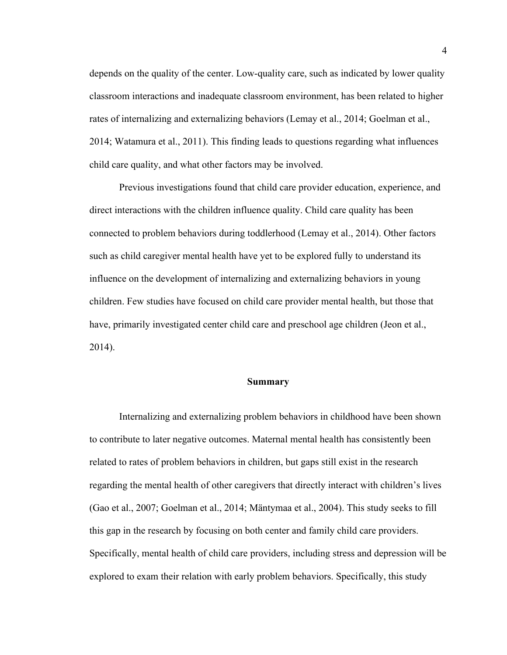depends on the quality of the center. Low-quality care, such as indicated by lower quality classroom interactions and inadequate classroom environment, has been related to higher rates of internalizing and externalizing behaviors (Lemay et al., 2014; Goelman et al., 2014; Watamura et al., 2011). This finding leads to questions regarding what influences child care quality, and what other factors may be involved.

Previous investigations found that child care provider education, experience, and direct interactions with the children influence quality. Child care quality has been connected to problem behaviors during toddlerhood (Lemay et al., 2014). Other factors such as child caregiver mental health have yet to be explored fully to understand its influence on the development of internalizing and externalizing behaviors in young children. Few studies have focused on child care provider mental health, but those that have, primarily investigated center child care and preschool age children (Jeon et al., 2014).

### **Summary**

<span id="page-14-0"></span>Internalizing and externalizing problem behaviors in childhood have been shown to contribute to later negative outcomes. Maternal mental health has consistently been related to rates of problem behaviors in children, but gaps still exist in the research regarding the mental health of other caregivers that directly interact with children's lives (Gao et al., 2007; Goelman et al., 2014; Mäntymaa et al., 2004). This study seeks to fill this gap in the research by focusing on both center and family child care providers. Specifically, mental health of child care providers, including stress and depression will be explored to exam their relation with early problem behaviors. Specifically, this study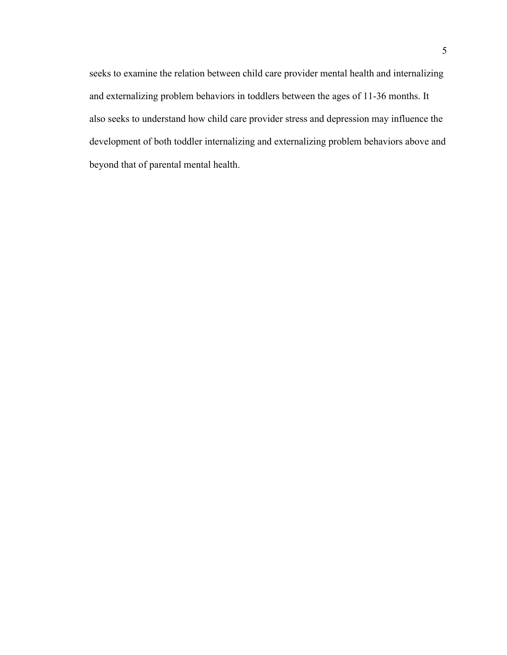seeks to examine the relation between child care provider mental health and internalizing and externalizing problem behaviors in toddlers between the ages of 11-36 months. It also seeks to understand how child care provider stress and depression may influence the development of both toddler internalizing and externalizing problem behaviors above and beyond that of parental mental health.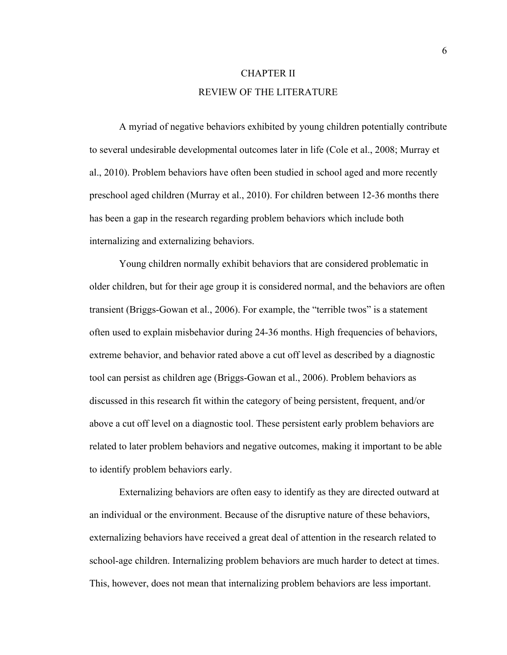# CHAPTER II REVIEW OF THE LITERATURE

<span id="page-16-0"></span>A myriad of negative behaviors exhibited by young children potentially contribute to several undesirable developmental outcomes later in life (Cole et al., 2008; Murray et al., 2010). Problem behaviors have often been studied in school aged and more recently preschool aged children (Murray et al., 2010). For children between 12-36 months there has been a gap in the research regarding problem behaviors which include both internalizing and externalizing behaviors.

Young children normally exhibit behaviors that are considered problematic in older children, but for their age group it is considered normal, and the behaviors are often transient (Briggs-Gowan et al., 2006). For example, the "terrible twos" is a statement often used to explain misbehavior during 24-36 months. High frequencies of behaviors, extreme behavior, and behavior rated above a cut off level as described by a diagnostic tool can persist as children age (Briggs-Gowan et al., 2006). Problem behaviors as discussed in this research fit within the category of being persistent, frequent, and/or above a cut off level on a diagnostic tool. These persistent early problem behaviors are related to later problem behaviors and negative outcomes, making it important to be able to identify problem behaviors early.

Externalizing behaviors are often easy to identify as they are directed outward at an individual or the environment. Because of the disruptive nature of these behaviors, externalizing behaviors have received a great deal of attention in the research related to school-age children. Internalizing problem behaviors are much harder to detect at times. This, however, does not mean that internalizing problem behaviors are less important.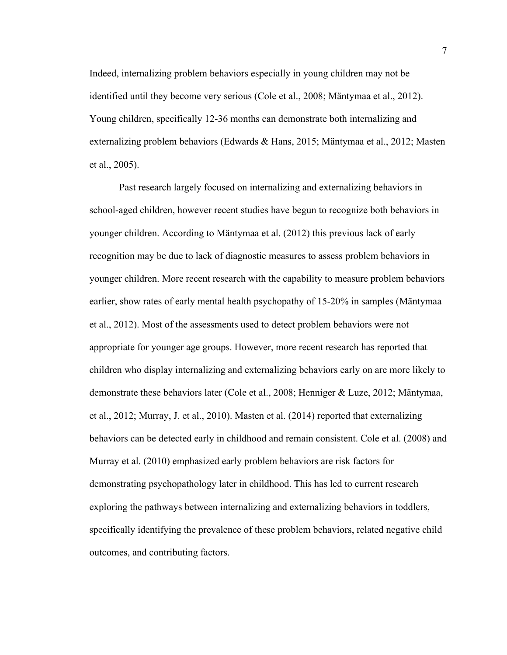Indeed, internalizing problem behaviors especially in young children may not be identified until they become very serious (Cole et al., 2008; Mäntymaa et al., 2012). Young children, specifically 12-36 months can demonstrate both internalizing and externalizing problem behaviors (Edwards & Hans, 2015; Mäntymaa et al., 2012; Masten et al., 2005).

Past research largely focused on internalizing and externalizing behaviors in school-aged children, however recent studies have begun to recognize both behaviors in younger children. According to Mäntymaa et al. (2012) this previous lack of early recognition may be due to lack of diagnostic measures to assess problem behaviors in younger children. More recent research with the capability to measure problem behaviors earlier, show rates of early mental health psychopathy of 15-20% in samples (Mäntymaa et al., 2012). Most of the assessments used to detect problem behaviors were not appropriate for younger age groups. However, more recent research has reported that children who display internalizing and externalizing behaviors early on are more likely to demonstrate these behaviors later (Cole et al., 2008; Henniger & Luze, 2012; Mäntymaa, et al., 2012; Murray, J. et al., 2010). Masten et al. (2014) reported that externalizing behaviors can be detected early in childhood and remain consistent. Cole et al. (2008) and Murray et al. (2010) emphasized early problem behaviors are risk factors for demonstrating psychopathology later in childhood. This has led to current research exploring the pathways between internalizing and externalizing behaviors in toddlers, specifically identifying the prevalence of these problem behaviors, related negative child outcomes, and contributing factors.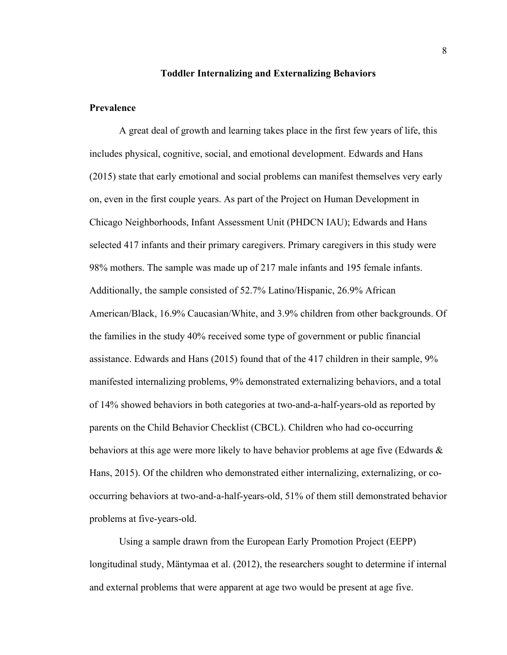### **Toddler Internalizing and Externalizing Behaviors**

### <span id="page-18-0"></span>**Prevalence**

A great deal of growth and learning takes place in the first few years of life, this includes physical, cognitive, social, and emotional development. Edwards and Hans (2015) state that early emotional and social problems can manifest themselves very early on, even in the first couple years. As part of the Project on Human Development in Chicago Neighborhoods, Infant Assessment Unit (PHDCN IAU); Edwards and Hans selected 417 infants and their primary caregivers. Primary caregivers in this study were 98% mothers. The sample was made up of 217 male infants and 195 female infants. Additionally, the sample consisted of 52.7% Latino/Hispanic, 26.9% African American/Black, 16.9% Caucasian/White, and 3.9% children from other backgrounds. Of the families in the study 40% received some type of government or public financial assistance. Edwards and Hans (2015) found that of the 417 children in their sample, 9% manifested internalizing problems, 9% demonstrated externalizing behaviors, and a total of 14% showed behaviors in both categories at two-and-a-half-years-old as reported by parents on the Child Behavior Checklist (CBCL). Children who had co-occurring behaviors at this age were more likely to have behavior problems at age five (Edwards & Hans, 2015). Of the children who demonstrated either internalizing, externalizing, or cooccurring behaviors at two-and-a-half-years-old, 51% of them still demonstrated behavior problems at five-years-old.

Using a sample drawn from the European Early Promotion Project (EEPP) longitudinal study, Mäntymaa et al. (2012), the researchers sought to determine if internal and external problems that were apparent at age two would be present at age five.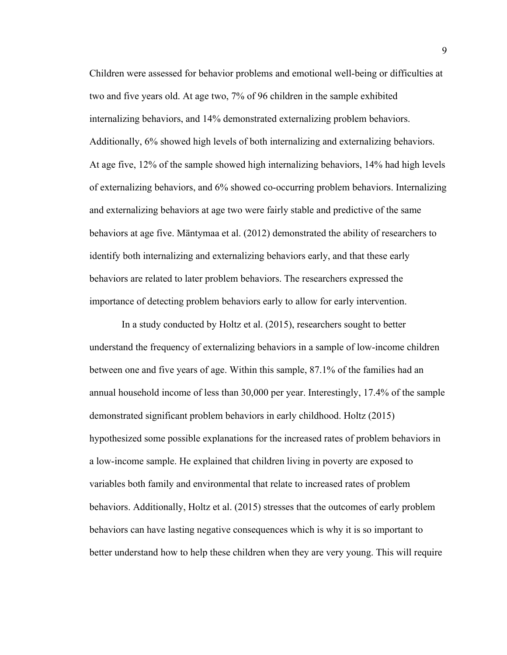Children were assessed for behavior problems and emotional well-being or difficulties at two and five years old. At age two, 7% of 96 children in the sample exhibited internalizing behaviors, and 14% demonstrated externalizing problem behaviors. Additionally, 6% showed high levels of both internalizing and externalizing behaviors. At age five, 12% of the sample showed high internalizing behaviors, 14% had high levels of externalizing behaviors, and 6% showed co-occurring problem behaviors. Internalizing and externalizing behaviors at age two were fairly stable and predictive of the same behaviors at age five. Mäntymaa et al. (2012) demonstrated the ability of researchers to identify both internalizing and externalizing behaviors early, and that these early behaviors are related to later problem behaviors. The researchers expressed the importance of detecting problem behaviors early to allow for early intervention.

In a study conducted by Holtz et al. (2015), researchers sought to better understand the frequency of externalizing behaviors in a sample of low-income children between one and five years of age. Within this sample, 87.1% of the families had an annual household income of less than 30,000 per year. Interestingly, 17.4% of the sample demonstrated significant problem behaviors in early childhood. Holtz (2015) hypothesized some possible explanations for the increased rates of problem behaviors in a low-income sample. He explained that children living in poverty are exposed to variables both family and environmental that relate to increased rates of problem behaviors. Additionally, Holtz et al. (2015) stresses that the outcomes of early problem behaviors can have lasting negative consequences which is why it is so important to better understand how to help these children when they are very young. This will require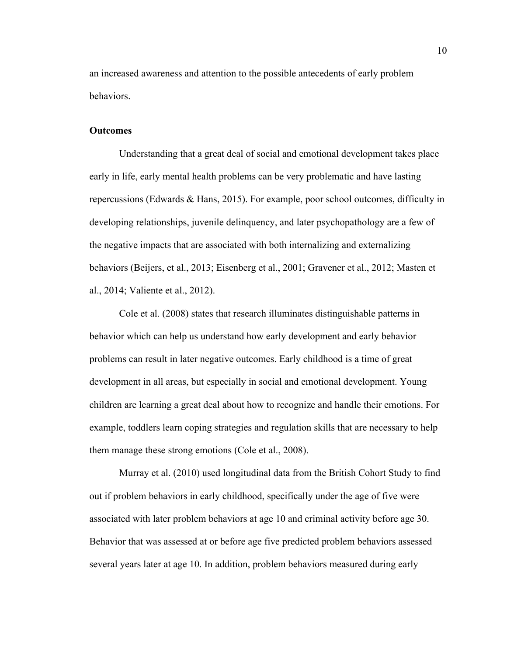an increased awareness and attention to the possible antecedents of early problem behaviors.

#### **Outcomes**

Understanding that a great deal of social and emotional development takes place early in life, early mental health problems can be very problematic and have lasting repercussions (Edwards & Hans, 2015). For example, poor school outcomes, difficulty in developing relationships, juvenile delinquency, and later psychopathology are a few of the negative impacts that are associated with both internalizing and externalizing behaviors (Beijers, et al., 2013; Eisenberg et al., 2001; Gravener et al., 2012; Masten et al., 2014; Valiente et al., 2012).

Cole et al. (2008) states that research illuminates distinguishable patterns in behavior which can help us understand how early development and early behavior problems can result in later negative outcomes. Early childhood is a time of great development in all areas, but especially in social and emotional development. Young children are learning a great deal about how to recognize and handle their emotions. For example, toddlers learn coping strategies and regulation skills that are necessary to help them manage these strong emotions (Cole et al., 2008).

Murray et al. (2010) used longitudinal data from the British Cohort Study to find out if problem behaviors in early childhood, specifically under the age of five were associated with later problem behaviors at age 10 and criminal activity before age 30. Behavior that was assessed at or before age five predicted problem behaviors assessed several years later at age 10. In addition, problem behaviors measured during early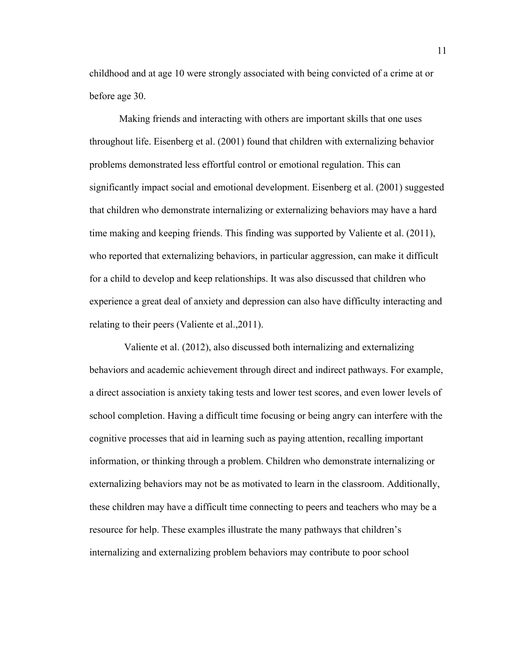childhood and at age 10 were strongly associated with being convicted of a crime at or before age 30.

Making friends and interacting with others are important skills that one uses throughout life. Eisenberg et al. (2001) found that children with externalizing behavior problems demonstrated less effortful control or emotional regulation. This can significantly impact social and emotional development. Eisenberg et al. (2001) suggested that children who demonstrate internalizing or externalizing behaviors may have a hard time making and keeping friends. This finding was supported by Valiente et al. (2011), who reported that externalizing behaviors, in particular aggression, can make it difficult for a child to develop and keep relationships. It was also discussed that children who experience a great deal of anxiety and depression can also have difficulty interacting and relating to their peers (Valiente et al.,2011).

 Valiente et al. (2012), also discussed both internalizing and externalizing behaviors and academic achievement through direct and indirect pathways. For example, a direct association is anxiety taking tests and lower test scores, and even lower levels of school completion. Having a difficult time focusing or being angry can interfere with the cognitive processes that aid in learning such as paying attention, recalling important information, or thinking through a problem. Children who demonstrate internalizing or externalizing behaviors may not be as motivated to learn in the classroom. Additionally, these children may have a difficult time connecting to peers and teachers who may be a resource for help. These examples illustrate the many pathways that children's internalizing and externalizing problem behaviors may contribute to poor school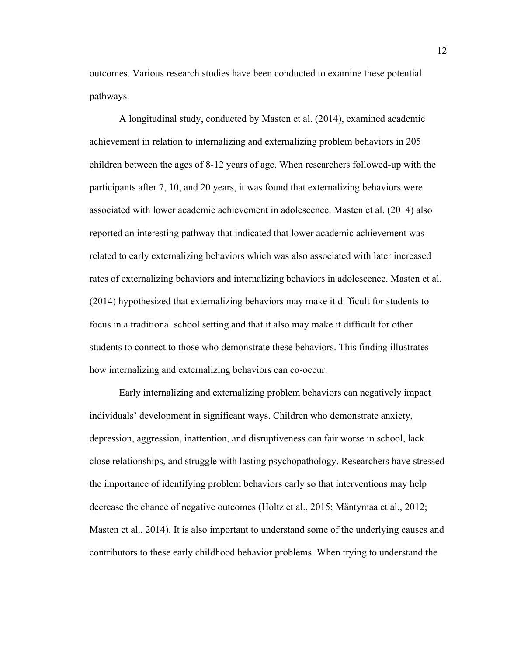outcomes. Various research studies have been conducted to examine these potential pathways.

A longitudinal study, conducted by Masten et al. (2014), examined academic achievement in relation to internalizing and externalizing problem behaviors in 205 children between the ages of 8-12 years of age. When researchers followed-up with the participants after 7, 10, and 20 years, it was found that externalizing behaviors were associated with lower academic achievement in adolescence. Masten et al. (2014) also reported an interesting pathway that indicated that lower academic achievement was related to early externalizing behaviors which was also associated with later increased rates of externalizing behaviors and internalizing behaviors in adolescence. Masten et al. (2014) hypothesized that externalizing behaviors may make it difficult for students to focus in a traditional school setting and that it also may make it difficult for other students to connect to those who demonstrate these behaviors. This finding illustrates how internalizing and externalizing behaviors can co-occur.

Early internalizing and externalizing problem behaviors can negatively impact individuals' development in significant ways. Children who demonstrate anxiety, depression, aggression, inattention, and disruptiveness can fair worse in school, lack close relationships, and struggle with lasting psychopathology. Researchers have stressed the importance of identifying problem behaviors early so that interventions may help decrease the chance of negative outcomes (Holtz et al., 2015; Mäntymaa et al., 2012; Masten et al., 2014). It is also important to understand some of the underlying causes and contributors to these early childhood behavior problems. When trying to understand the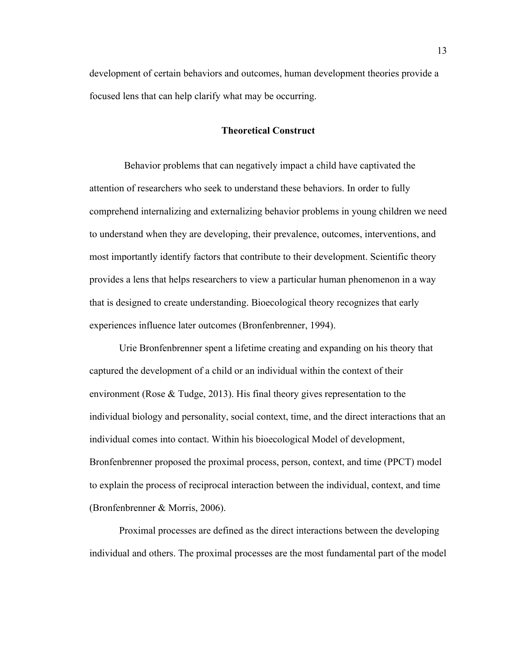<span id="page-23-0"></span>development of certain behaviors and outcomes, human development theories provide a focused lens that can help clarify what may be occurring.

### **Theoretical Construct**

 Behavior problems that can negatively impact a child have captivated the attention of researchers who seek to understand these behaviors. In order to fully comprehend internalizing and externalizing behavior problems in young children we need to understand when they are developing, their prevalence, outcomes, interventions, and most importantly identify factors that contribute to their development. Scientific theory provides a lens that helps researchers to view a particular human phenomenon in a way that is designed to create understanding. Bioecological theory recognizes that early experiences influence later outcomes (Bronfenbrenner, 1994).

Urie Bronfenbrenner spent a lifetime creating and expanding on his theory that captured the development of a child or an individual within the context of their environment (Rose & Tudge, 2013). His final theory gives representation to the individual biology and personality, social context, time, and the direct interactions that an individual comes into contact. Within his bioecological Model of development, Bronfenbrenner proposed the proximal process, person, context, and time (PPCT) model to explain the process of reciprocal interaction between the individual, context, and time (Bronfenbrenner & Morris, 2006).

Proximal processes are defined as the direct interactions between the developing individual and others. The proximal processes are the most fundamental part of the model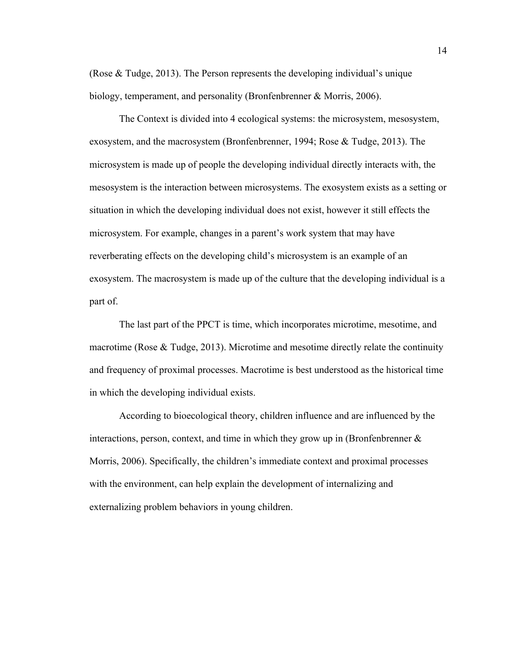(Rose & Tudge, 2013). The Person represents the developing individual's unique biology, temperament, and personality (Bronfenbrenner & Morris, 2006).

The Context is divided into 4 ecological systems: the microsystem, mesosystem, exosystem, and the macrosystem (Bronfenbrenner, 1994; Rose & Tudge, 2013). The microsystem is made up of people the developing individual directly interacts with, the mesosystem is the interaction between microsystems. The exosystem exists as a setting or situation in which the developing individual does not exist, however it still effects the microsystem. For example, changes in a parent's work system that may have reverberating effects on the developing child's microsystem is an example of an exosystem. The macrosystem is made up of the culture that the developing individual is a part of.

The last part of the PPCT is time, which incorporates microtime, mesotime, and macrotime (Rose  $\&$  Tudge, 2013). Microtime and mesotime directly relate the continuity and frequency of proximal processes. Macrotime is best understood as the historical time in which the developing individual exists.

According to bioecological theory, children influence and are influenced by the interactions, person, context, and time in which they grow up in (Bronfenbrenner  $\&$ Morris, 2006). Specifically, the children's immediate context and proximal processes with the environment, can help explain the development of internalizing and externalizing problem behaviors in young children.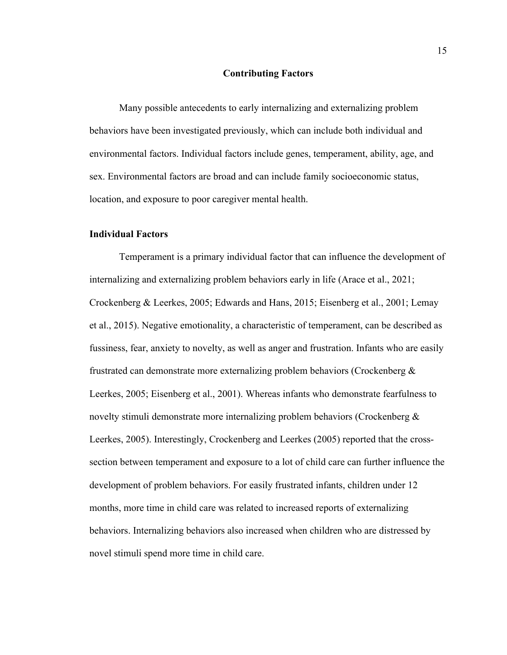### **Contributing Factors**

<span id="page-25-0"></span>Many possible antecedents to early internalizing and externalizing problem behaviors have been investigated previously, which can include both individual and environmental factors. Individual factors include genes, temperament, ability, age, and sex. Environmental factors are broad and can include family socioeconomic status, location, and exposure to poor caregiver mental health.

### **Individual Factors**

Temperament is a primary individual factor that can influence the development of internalizing and externalizing problem behaviors early in life (Arace et al., 2021; Crockenberg & Leerkes, 2005; Edwards and Hans, 2015; Eisenberg et al., 2001; Lemay et al., 2015). Negative emotionality, a characteristic of temperament, can be described as fussiness, fear, anxiety to novelty, as well as anger and frustration. Infants who are easily frustrated can demonstrate more externalizing problem behaviors (Crockenberg & Leerkes, 2005; Eisenberg et al., 2001). Whereas infants who demonstrate fearfulness to novelty stimuli demonstrate more internalizing problem behaviors (Crockenberg  $\&$ Leerkes, 2005). Interestingly, Crockenberg and Leerkes (2005) reported that the crosssection between temperament and exposure to a lot of child care can further influence the development of problem behaviors. For easily frustrated infants, children under 12 months, more time in child care was related to increased reports of externalizing behaviors. Internalizing behaviors also increased when children who are distressed by novel stimuli spend more time in child care.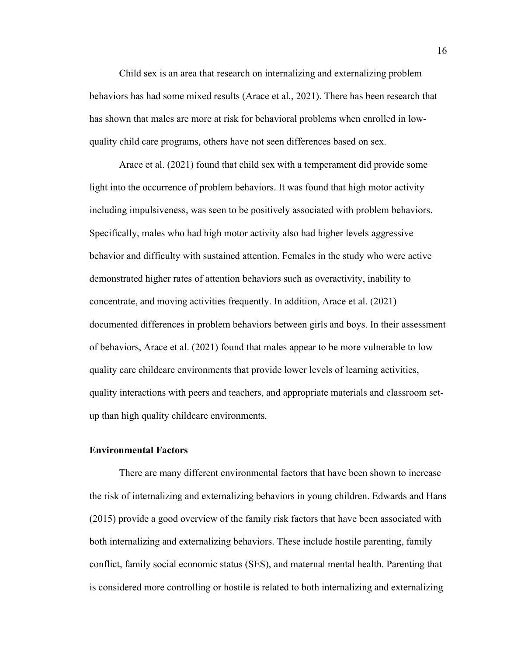Child sex is an area that research on internalizing and externalizing problem behaviors has had some mixed results (Arace et al., 2021). There has been research that has shown that males are more at risk for behavioral problems when enrolled in lowquality child care programs, others have not seen differences based on sex.

Arace et al. (2021) found that child sex with a temperament did provide some light into the occurrence of problem behaviors. It was found that high motor activity including impulsiveness, was seen to be positively associated with problem behaviors. Specifically, males who had high motor activity also had higher levels aggressive behavior and difficulty with sustained attention. Females in the study who were active demonstrated higher rates of attention behaviors such as overactivity, inability to concentrate, and moving activities frequently. In addition, Arace et al. (2021) documented differences in problem behaviors between girls and boys. In their assessment of behaviors, Arace et al. (2021) found that males appear to be more vulnerable to low quality care childcare environments that provide lower levels of learning activities, quality interactions with peers and teachers, and appropriate materials and classroom setup than high quality childcare environments.

### **Environmental Factors**

There are many different environmental factors that have been shown to increase the risk of internalizing and externalizing behaviors in young children. Edwards and Hans (2015) provide a good overview of the family risk factors that have been associated with both internalizing and externalizing behaviors. These include hostile parenting, family conflict, family social economic status (SES), and maternal mental health. Parenting that is considered more controlling or hostile is related to both internalizing and externalizing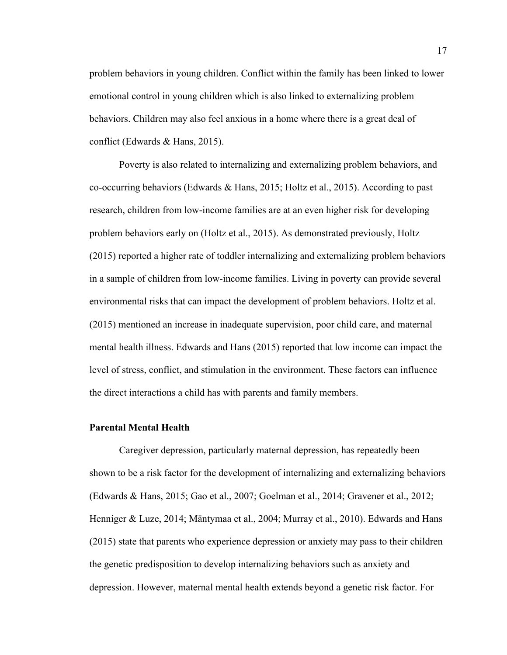problem behaviors in young children. Conflict within the family has been linked to lower emotional control in young children which is also linked to externalizing problem behaviors. Children may also feel anxious in a home where there is a great deal of conflict (Edwards & Hans, 2015).

Poverty is also related to internalizing and externalizing problem behaviors, and co-occurring behaviors (Edwards & Hans, 2015; Holtz et al., 2015). According to past research, children from low-income families are at an even higher risk for developing problem behaviors early on (Holtz et al., 2015). As demonstrated previously, Holtz (2015) reported a higher rate of toddler internalizing and externalizing problem behaviors in a sample of children from low-income families. Living in poverty can provide several environmental risks that can impact the development of problem behaviors. Holtz et al. (2015) mentioned an increase in inadequate supervision, poor child care, and maternal mental health illness. Edwards and Hans (2015) reported that low income can impact the level of stress, conflict, and stimulation in the environment. These factors can influence the direct interactions a child has with parents and family members.

### **Parental Mental Health**

Caregiver depression, particularly maternal depression, has repeatedly been shown to be a risk factor for the development of internalizing and externalizing behaviors (Edwards & Hans, 2015; Gao et al., 2007; Goelman et al., 2014; Gravener et al., 2012; Henniger & Luze, 2014; Mäntymaa et al., 2004; Murray et al., 2010). Edwards and Hans (2015) state that parents who experience depression or anxiety may pass to their children the genetic predisposition to develop internalizing behaviors such as anxiety and depression. However, maternal mental health extends beyond a genetic risk factor. For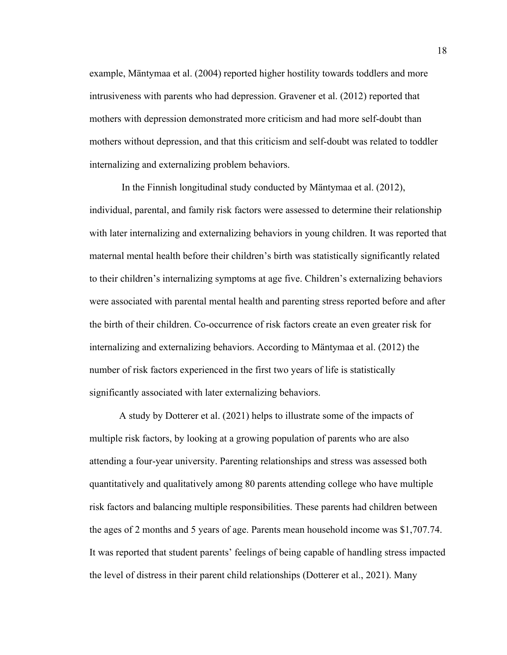example, Mäntymaa et al. (2004) reported higher hostility towards toddlers and more intrusiveness with parents who had depression. Gravener et al. (2012) reported that mothers with depression demonstrated more criticism and had more self-doubt than mothers without depression, and that this criticism and self-doubt was related to toddler internalizing and externalizing problem behaviors.

In the Finnish longitudinal study conducted by Mäntymaa et al. (2012), individual, parental, and family risk factors were assessed to determine their relationship with later internalizing and externalizing behaviors in young children. It was reported that maternal mental health before their children's birth was statistically significantly related to their children's internalizing symptoms at age five. Children's externalizing behaviors were associated with parental mental health and parenting stress reported before and after the birth of their children. Co-occurrence of risk factors create an even greater risk for internalizing and externalizing behaviors. According to Mäntymaa et al. (2012) the number of risk factors experienced in the first two years of life is statistically significantly associated with later externalizing behaviors.

A study by Dotterer et al. (2021) helps to illustrate some of the impacts of multiple risk factors, by looking at a growing population of parents who are also attending a four-year university. Parenting relationships and stress was assessed both quantitatively and qualitatively among 80 parents attending college who have multiple risk factors and balancing multiple responsibilities. These parents had children between the ages of 2 months and 5 years of age. Parents mean household income was \$1,707.74. It was reported that student parents' feelings of being capable of handling stress impacted the level of distress in their parent child relationships (Dotterer et al., 2021). Many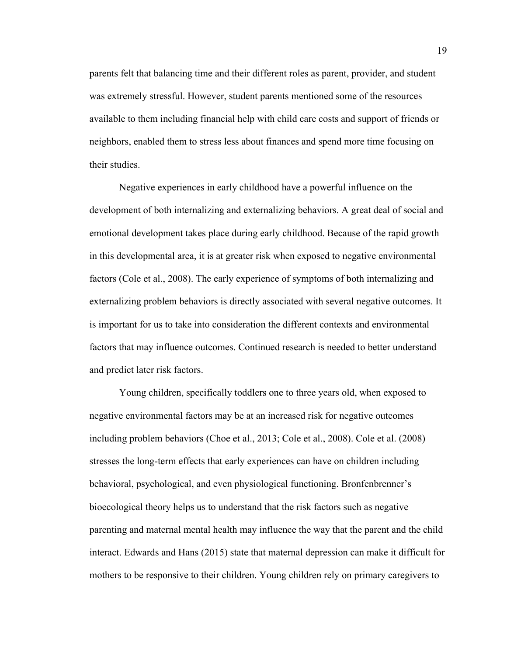parents felt that balancing time and their different roles as parent, provider, and student was extremely stressful. However, student parents mentioned some of the resources available to them including financial help with child care costs and support of friends or neighbors, enabled them to stress less about finances and spend more time focusing on their studies.

Negative experiences in early childhood have a powerful influence on the development of both internalizing and externalizing behaviors. A great deal of social and emotional development takes place during early childhood. Because of the rapid growth in this developmental area, it is at greater risk when exposed to negative environmental factors (Cole et al., 2008). The early experience of symptoms of both internalizing and externalizing problem behaviors is directly associated with several negative outcomes. It is important for us to take into consideration the different contexts and environmental factors that may influence outcomes. Continued research is needed to better understand and predict later risk factors.

Young children, specifically toddlers one to three years old, when exposed to negative environmental factors may be at an increased risk for negative outcomes including problem behaviors (Choe et al., 2013; Cole et al., 2008). Cole et al. (2008) stresses the long-term effects that early experiences can have on children including behavioral, psychological, and even physiological functioning. Bronfenbrenner's bioecological theory helps us to understand that the risk factors such as negative parenting and maternal mental health may influence the way that the parent and the child interact. Edwards and Hans (2015) state that maternal depression can make it difficult for mothers to be responsive to their children. Young children rely on primary caregivers to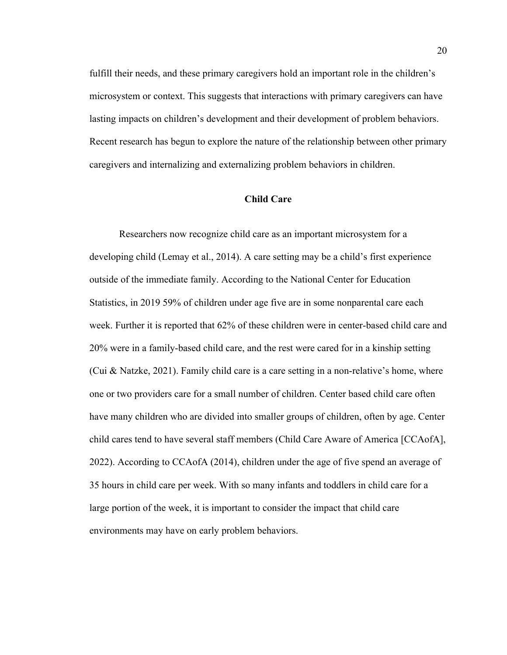fulfill their needs, and these primary caregivers hold an important role in the children's microsystem or context. This suggests that interactions with primary caregivers can have lasting impacts on children's development and their development of problem behaviors. Recent research has begun to explore the nature of the relationship between other primary caregivers and internalizing and externalizing problem behaviors in children.

### **Child Care**

<span id="page-30-0"></span>Researchers now recognize child care as an important microsystem for a developing child (Lemay et al., 2014). A care setting may be a child's first experience outside of the immediate family. According to the National Center for Education Statistics, in 2019 59% of children under age five are in some nonparental care each week. Further it is reported that 62% of these children were in center-based child care and 20% were in a family-based child care, and the rest were cared for in a kinship setting (Cui & Natzke, 2021). Family child care is a care setting in a non-relative's home, where one or two providers care for a small number of children. Center based child care often have many children who are divided into smaller groups of children, often by age. Center child cares tend to have several staff members (Child Care Aware of America [CCAofA], 2022). According to CCAofA (2014), children under the age of five spend an average of 35 hours in child care per week. With so many infants and toddlers in child care for a large portion of the week, it is important to consider the impact that child care environments may have on early problem behaviors.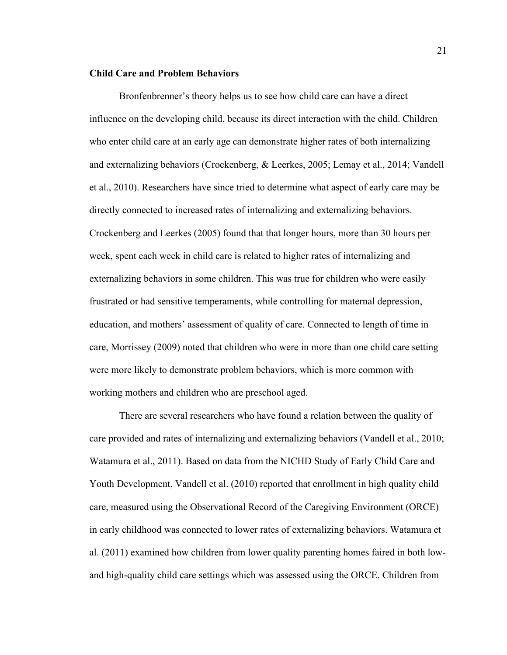### **Child Care and Problem Behaviors**

Bronfenbrenner's theory helps us to see how child care can have a direct influence on the developing child, because its direct interaction with the child. Children who enter child care at an early age can demonstrate higher rates of both internalizing and externalizing behaviors (Crockenberg, & Leerkes, 2005; Lemay et al., 2014; Vandell et al., 2010). Researchers have since tried to determine what aspect of early care may be directly connected to increased rates of internalizing and externalizing behaviors. Crockenberg and Leerkes (2005) found that that longer hours, more than 30 hours per week, spent each week in child care is related to higher rates of internalizing and externalizing behaviors in some children. This was true for children who were easily frustrated or had sensitive temperaments, while controlling for maternal depression, education, and mothers' assessment of quality of care. Connected to length of time in care, Morrissey (2009) noted that children who were in more than one child care setting were more likely to demonstrate problem behaviors, which is more common with working mothers and children who are preschool aged.

There are several researchers who have found a relation between the quality of care provided and rates of internalizing and externalizing behaviors (Vandell et al., 2010; Watamura et al., 2011). Based on data from the NICHD Study of Early Child Care and Youth Development, Vandell et al. (2010) reported that enrollment in high quality child care, measured using the Observational Record of the Caregiving Environment (ORCE) in early childhood was connected to lower rates of externalizing behaviors. Watamura et al. (2011) examined how children from lower quality parenting homes faired in both lowand high-quality child care settings which was assessed using the ORCE. Children from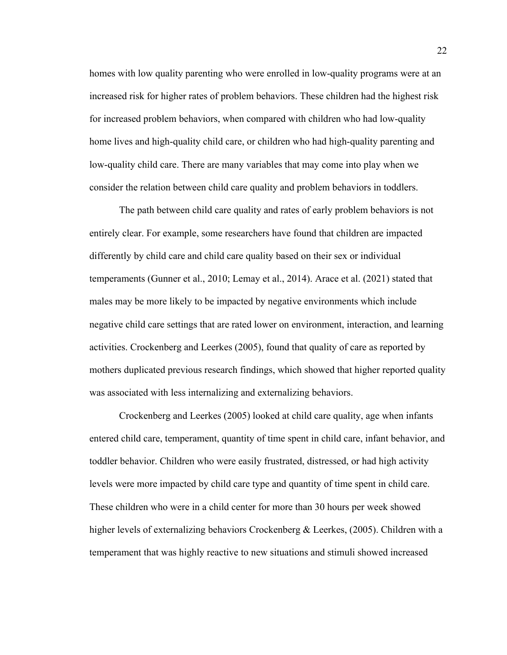homes with low quality parenting who were enrolled in low-quality programs were at an increased risk for higher rates of problem behaviors. These children had the highest risk for increased problem behaviors, when compared with children who had low-quality home lives and high-quality child care, or children who had high-quality parenting and low-quality child care. There are many variables that may come into play when we consider the relation between child care quality and problem behaviors in toddlers.

The path between child care quality and rates of early problem behaviors is not entirely clear. For example, some researchers have found that children are impacted differently by child care and child care quality based on their sex or individual temperaments (Gunner et al., 2010; Lemay et al., 2014). Arace et al. (2021) stated that males may be more likely to be impacted by negative environments which include negative child care settings that are rated lower on environment, interaction, and learning activities. Crockenberg and Leerkes (2005), found that quality of care as reported by mothers duplicated previous research findings, which showed that higher reported quality was associated with less internalizing and externalizing behaviors.

Crockenberg and Leerkes (2005) looked at child care quality, age when infants entered child care, temperament, quantity of time spent in child care, infant behavior, and toddler behavior. Children who were easily frustrated, distressed, or had high activity levels were more impacted by child care type and quantity of time spent in child care. These children who were in a child center for more than 30 hours per week showed higher levels of externalizing behaviors Crockenberg & Leerkes, (2005). Children with a temperament that was highly reactive to new situations and stimuli showed increased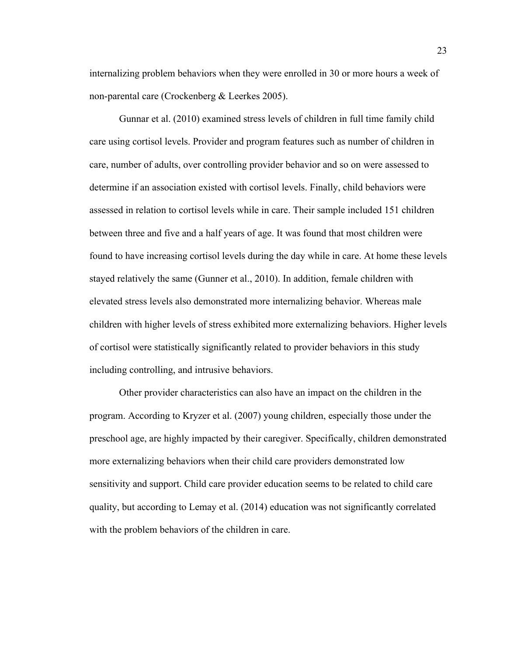internalizing problem behaviors when they were enrolled in 30 or more hours a week of non-parental care (Crockenberg & Leerkes 2005).

Gunnar et al. (2010) examined stress levels of children in full time family child care using cortisol levels. Provider and program features such as number of children in care, number of adults, over controlling provider behavior and so on were assessed to determine if an association existed with cortisol levels. Finally, child behaviors were assessed in relation to cortisol levels while in care. Their sample included 151 children between three and five and a half years of age. It was found that most children were found to have increasing cortisol levels during the day while in care. At home these levels stayed relatively the same (Gunner et al., 2010). In addition, female children with elevated stress levels also demonstrated more internalizing behavior. Whereas male children with higher levels of stress exhibited more externalizing behaviors. Higher levels of cortisol were statistically significantly related to provider behaviors in this study including controlling, and intrusive behaviors.

Other provider characteristics can also have an impact on the children in the program. According to Kryzer et al. (2007) young children, especially those under the preschool age, are highly impacted by their caregiver. Specifically, children demonstrated more externalizing behaviors when their child care providers demonstrated low sensitivity and support. Child care provider education seems to be related to child care quality, but according to Lemay et al. (2014) education was not significantly correlated with the problem behaviors of the children in care.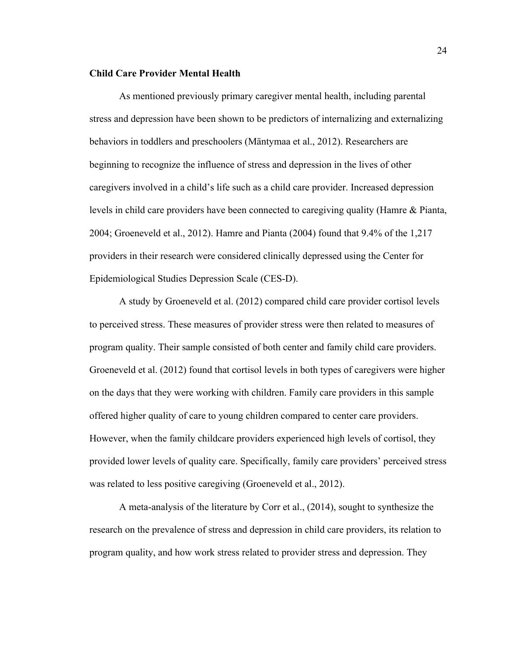### **Child Care Provider Mental Health**

As mentioned previously primary caregiver mental health, including parental stress and depression have been shown to be predictors of internalizing and externalizing behaviors in toddlers and preschoolers (Mäntymaa et al., 2012). Researchers are beginning to recognize the influence of stress and depression in the lives of other caregivers involved in a child's life such as a child care provider. Increased depression levels in child care providers have been connected to caregiving quality (Hamre & Pianta, 2004; Groeneveld et al., 2012). Hamre and Pianta (2004) found that 9.4% of the 1,217 providers in their research were considered clinically depressed using the Center for Epidemiological Studies Depression Scale (CES-D).

A study by Groeneveld et al. (2012) compared child care provider cortisol levels to perceived stress. These measures of provider stress were then related to measures of program quality. Their sample consisted of both center and family child care providers. Groeneveld et al. (2012) found that cortisol levels in both types of caregivers were higher on the days that they were working with children. Family care providers in this sample offered higher quality of care to young children compared to center care providers. However, when the family childcare providers experienced high levels of cortisol, they provided lower levels of quality care. Specifically, family care providers' perceived stress was related to less positive caregiving (Groeneveld et al., 2012).

A meta-analysis of the literature by Corr et al., (2014), sought to synthesize the research on the prevalence of stress and depression in child care providers, its relation to program quality, and how work stress related to provider stress and depression. They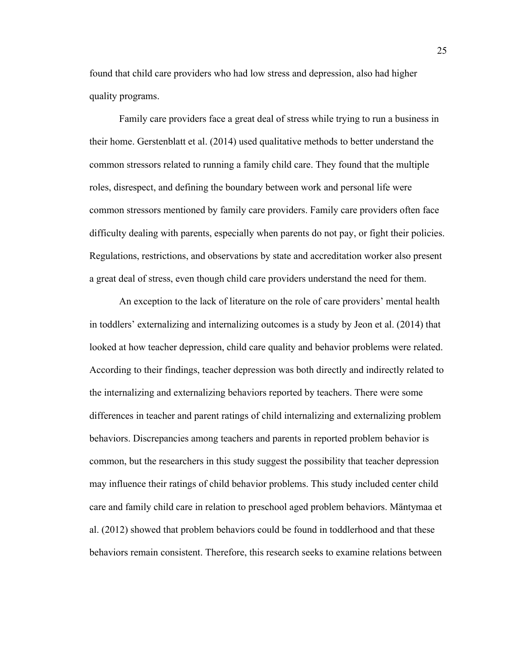found that child care providers who had low stress and depression, also had higher quality programs.

Family care providers face a great deal of stress while trying to run a business in their home. Gerstenblatt et al. (2014) used qualitative methods to better understand the common stressors related to running a family child care. They found that the multiple roles, disrespect, and defining the boundary between work and personal life were common stressors mentioned by family care providers. Family care providers often face difficulty dealing with parents, especially when parents do not pay, or fight their policies. Regulations, restrictions, and observations by state and accreditation worker also present a great deal of stress, even though child care providers understand the need for them.

An exception to the lack of literature on the role of care providers' mental health in toddlers' externalizing and internalizing outcomes is a study by Jeon et al. (2014) that looked at how teacher depression, child care quality and behavior problems were related. According to their findings, teacher depression was both directly and indirectly related to the internalizing and externalizing behaviors reported by teachers. There were some differences in teacher and parent ratings of child internalizing and externalizing problem behaviors. Discrepancies among teachers and parents in reported problem behavior is common, but the researchers in this study suggest the possibility that teacher depression may influence their ratings of child behavior problems. This study included center child care and family child care in relation to preschool aged problem behaviors. Mäntymaa et al. (2012) showed that problem behaviors could be found in toddlerhood and that these behaviors remain consistent. Therefore, this research seeks to examine relations between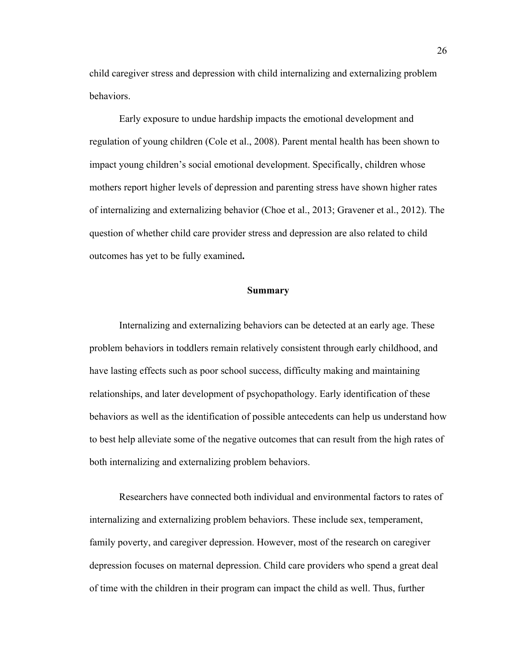child caregiver stress and depression with child internalizing and externalizing problem behaviors.

Early exposure to undue hardship impacts the emotional development and regulation of young children (Cole et al., 2008). Parent mental health has been shown to impact young children's social emotional development. Specifically, children whose mothers report higher levels of depression and parenting stress have shown higher rates of internalizing and externalizing behavior (Choe et al., 2013; Gravener et al., 2012). The question of whether child care provider stress and depression are also related to child outcomes has yet to be fully examined**.**

## **Summary**

Internalizing and externalizing behaviors can be detected at an early age. These problem behaviors in toddlers remain relatively consistent through early childhood, and have lasting effects such as poor school success, difficulty making and maintaining relationships, and later development of psychopathology. Early identification of these behaviors as well as the identification of possible antecedents can help us understand how to best help alleviate some of the negative outcomes that can result from the high rates of both internalizing and externalizing problem behaviors.

Researchers have connected both individual and environmental factors to rates of internalizing and externalizing problem behaviors. These include sex, temperament, family poverty, and caregiver depression. However, most of the research on caregiver depression focuses on maternal depression. Child care providers who spend a great deal of time with the children in their program can impact the child as well. Thus, further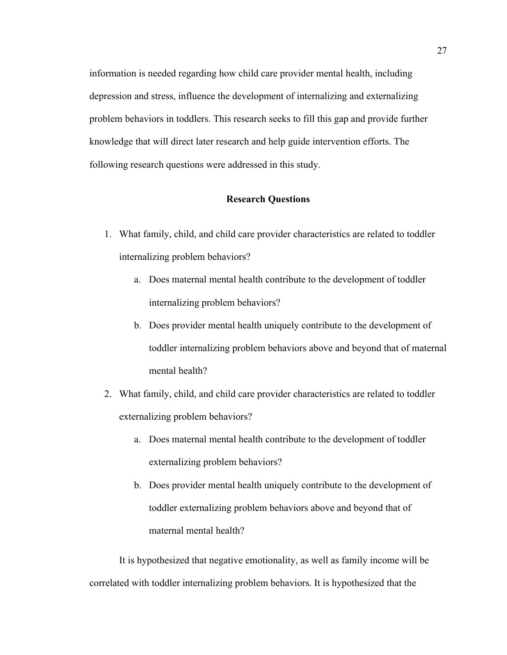information is needed regarding how child care provider mental health, including depression and stress, influence the development of internalizing and externalizing problem behaviors in toddlers. This research seeks to fill this gap and provide further knowledge that will direct later research and help guide intervention efforts. The following research questions were addressed in this study.

#### **Research Questions**

- 1. What family, child, and child care provider characteristics are related to toddler internalizing problem behaviors?
	- a. Does maternal mental health contribute to the development of toddler internalizing problem behaviors?
	- b. Does provider mental health uniquely contribute to the development of toddler internalizing problem behaviors above and beyond that of maternal mental health?
- 2. What family, child, and child care provider characteristics are related to toddler externalizing problem behaviors?
	- a. Does maternal mental health contribute to the development of toddler externalizing problem behaviors?
	- b. Does provider mental health uniquely contribute to the development of toddler externalizing problem behaviors above and beyond that of maternal mental health?

It is hypothesized that negative emotionality, as well as family income will be correlated with toddler internalizing problem behaviors. It is hypothesized that the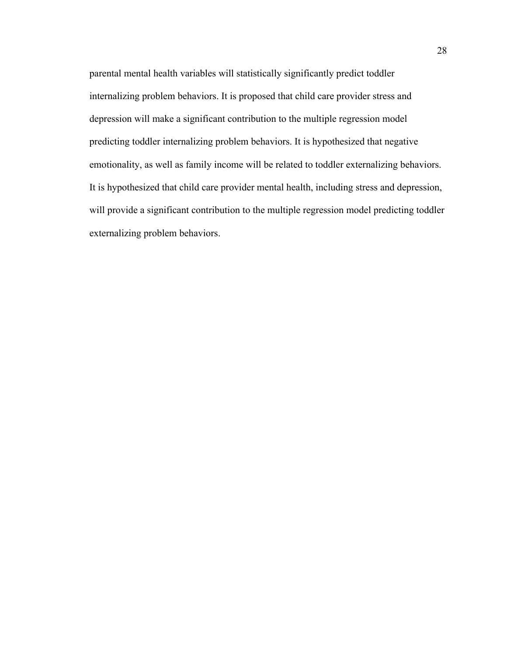parental mental health variables will statistically significantly predict toddler internalizing problem behaviors. It is proposed that child care provider stress and depression will make a significant contribution to the multiple regression model predicting toddler internalizing problem behaviors. It is hypothesized that negative emotionality, as well as family income will be related to toddler externalizing behaviors. It is hypothesized that child care provider mental health, including stress and depression, will provide a significant contribution to the multiple regression model predicting toddler externalizing problem behaviors.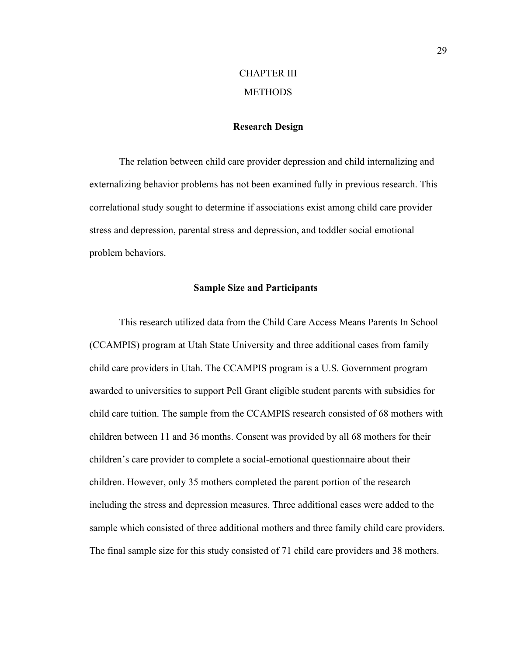# CHAPTER III **METHODS**

## **Research Design**

The relation between child care provider depression and child internalizing and externalizing behavior problems has not been examined fully in previous research. This correlational study sought to determine if associations exist among child care provider stress and depression, parental stress and depression, and toddler social emotional problem behaviors.

## **Sample Size and Participants**

This research utilized data from the Child Care Access Means Parents In School (CCAMPIS) program at Utah State University and three additional cases from family child care providers in Utah. The CCAMPIS program is a U.S. Government program awarded to universities to support Pell Grant eligible student parents with subsidies for child care tuition. The sample from the CCAMPIS research consisted of 68 mothers with children between 11 and 36 months. Consent was provided by all 68 mothers for their children's care provider to complete a social-emotional questionnaire about their children. However, only 35 mothers completed the parent portion of the research including the stress and depression measures. Three additional cases were added to the sample which consisted of three additional mothers and three family child care providers. The final sample size for this study consisted of 71 child care providers and 38 mothers.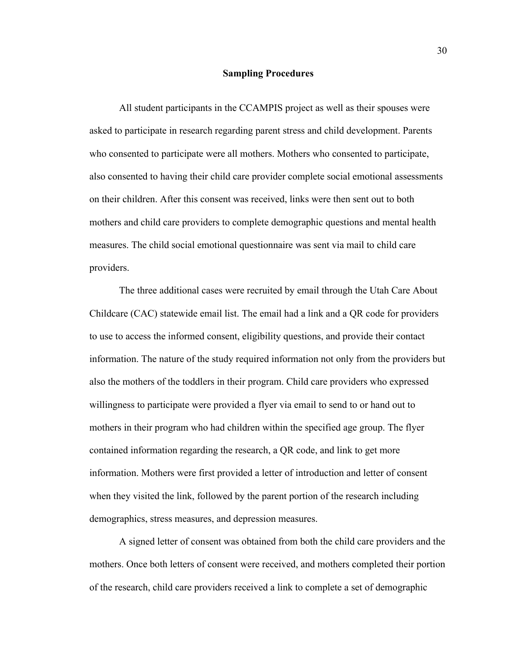## **Sampling Procedures**

All student participants in the CCAMPIS project as well as their spouses were asked to participate in research regarding parent stress and child development. Parents who consented to participate were all mothers. Mothers who consented to participate, also consented to having their child care provider complete social emotional assessments on their children. After this consent was received, links were then sent out to both mothers and child care providers to complete demographic questions and mental health measures. The child social emotional questionnaire was sent via mail to child care providers.

The three additional cases were recruited by email through the Utah Care About Childcare (CAC) statewide email list. The email had a link and a QR code for providers to use to access the informed consent, eligibility questions, and provide their contact information. The nature of the study required information not only from the providers but also the mothers of the toddlers in their program. Child care providers who expressed willingness to participate were provided a flyer via email to send to or hand out to mothers in their program who had children within the specified age group. The flyer contained information regarding the research, a QR code, and link to get more information. Mothers were first provided a letter of introduction and letter of consent when they visited the link, followed by the parent portion of the research including demographics, stress measures, and depression measures.

A signed letter of consent was obtained from both the child care providers and the mothers. Once both letters of consent were received, and mothers completed their portion of the research, child care providers received a link to complete a set of demographic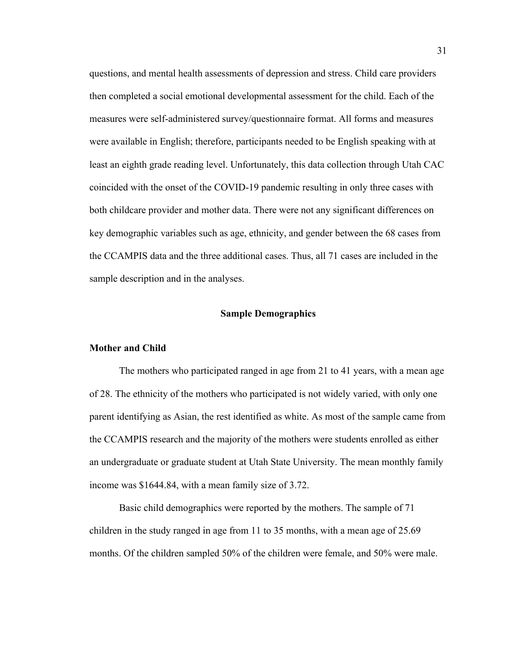questions, and mental health assessments of depression and stress. Child care providers then completed a social emotional developmental assessment for the child. Each of the measures were self-administered survey/questionnaire format. All forms and measures were available in English; therefore, participants needed to be English speaking with at least an eighth grade reading level. Unfortunately, this data collection through Utah CAC coincided with the onset of the COVID-19 pandemic resulting in only three cases with both childcare provider and mother data. There were not any significant differences on key demographic variables such as age, ethnicity, and gender between the 68 cases from the CCAMPIS data and the three additional cases. Thus, all 71 cases are included in the sample description and in the analyses.

## **Sample Demographics**

#### **Mother and Child**

The mothers who participated ranged in age from 21 to 41 years, with a mean age of 28. The ethnicity of the mothers who participated is not widely varied, with only one parent identifying as Asian, the rest identified as white. As most of the sample came from the CCAMPIS research and the majority of the mothers were students enrolled as either an undergraduate or graduate student at Utah State University. The mean monthly family income was \$1644.84, with a mean family size of 3.72.

Basic child demographics were reported by the mothers. The sample of 71 children in the study ranged in age from 11 to 35 months, with a mean age of 25.69 months. Of the children sampled 50% of the children were female, and 50% were male.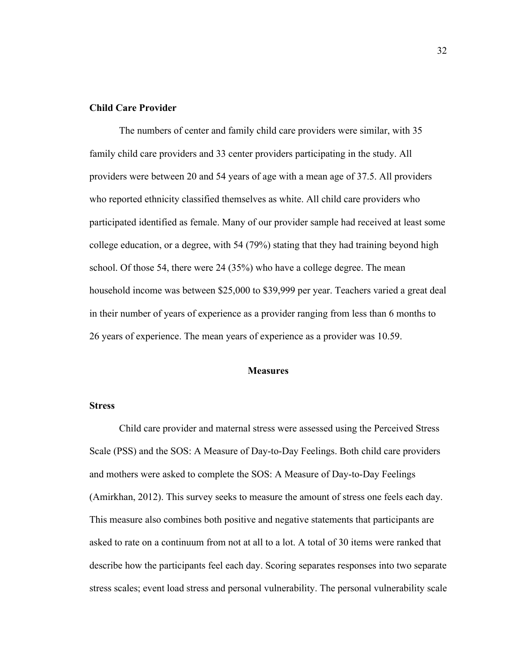## **Child Care Provider**

The numbers of center and family child care providers were similar, with 35 family child care providers and 33 center providers participating in the study. All providers were between 20 and 54 years of age with a mean age of 37.5. All providers who reported ethnicity classified themselves as white. All child care providers who participated identified as female. Many of our provider sample had received at least some college education, or a degree, with 54 (79%) stating that they had training beyond high school. Of those 54, there were 24 (35%) who have a college degree. The mean household income was between \$25,000 to \$39,999 per year. Teachers varied a great deal in their number of years of experience as a provider ranging from less than 6 months to 26 years of experience. The mean years of experience as a provider was 10.59.

#### **Measures**

#### **Stress**

Child care provider and maternal stress were assessed using the Perceived Stress Scale (PSS) and the SOS: A Measure of Day-to-Day Feelings. Both child care providers and mothers were asked to complete the SOS: A Measure of Day-to-Day Feelings (Amirkhan, 2012). This survey seeks to measure the amount of stress one feels each day. This measure also combines both positive and negative statements that participants are asked to rate on a continuum from not at all to a lot. A total of 30 items were ranked that describe how the participants feel each day. Scoring separates responses into two separate stress scales; event load stress and personal vulnerability. The personal vulnerability scale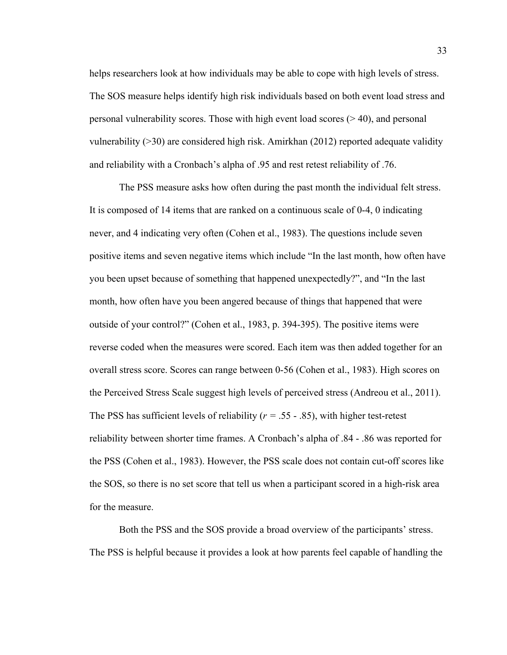helps researchers look at how individuals may be able to cope with high levels of stress. The SOS measure helps identify high risk individuals based on both event load stress and personal vulnerability scores. Those with high event load scores  $(>40)$ , and personal vulnerability (>30) are considered high risk. Amirkhan (2012) reported adequate validity and reliability with a Cronbach's alpha of .95 and rest retest reliability of .76.

The PSS measure asks how often during the past month the individual felt stress. It is composed of 14 items that are ranked on a continuous scale of 0-4, 0 indicating never, and 4 indicating very often (Cohen et al., 1983). The questions include seven positive items and seven negative items which include "In the last month, how often have you been upset because of something that happened unexpectedly?", and "In the last month, how often have you been angered because of things that happened that were outside of your control?" (Cohen et al., 1983, p. 394-395). The positive items were reverse coded when the measures were scored. Each item was then added together for an overall stress score. Scores can range between 0-56 (Cohen et al., 1983). High scores on the Perceived Stress Scale suggest high levels of perceived stress (Andreou et al., 2011). The PSS has sufficient levels of reliability ( $r = .55 - .85$ ), with higher test-retest reliability between shorter time frames. A Cronbach's alpha of .84 - .86 was reported for the PSS (Cohen et al., 1983). However, the PSS scale does not contain cut-off scores like the SOS, so there is no set score that tell us when a participant scored in a high-risk area for the measure.

Both the PSS and the SOS provide a broad overview of the participants' stress. The PSS is helpful because it provides a look at how parents feel capable of handling the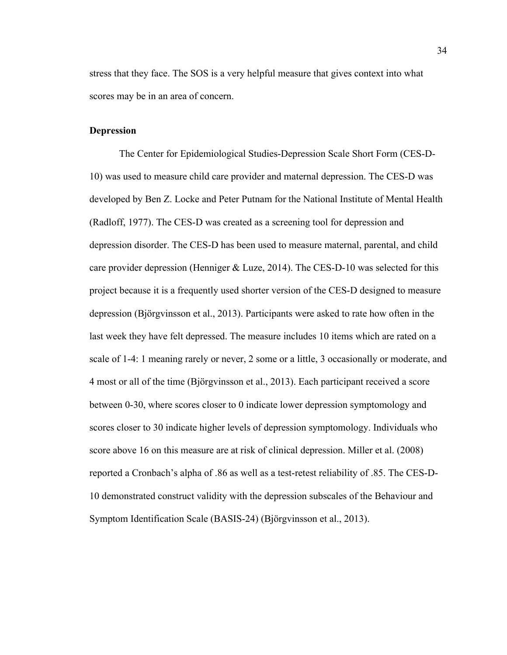stress that they face. The SOS is a very helpful measure that gives context into what scores may be in an area of concern.

#### **Depression**

The Center for Epidemiological Studies-Depression Scale Short Form (CES-D-10) was used to measure child care provider and maternal depression. The CES-D was developed by Ben Z. Locke and Peter Putnam for the National Institute of Mental Health (Radloff, 1977). The CES-D was created as a screening tool for depression and depression disorder. The CES-D has been used to measure maternal, parental, and child care provider depression (Henniger & Luze, 2014). The CES-D-10 was selected for this project because it is a frequently used shorter version of the CES-D designed to measure depression (Bjӧrgvinsson et al., 2013). Participants were asked to rate how often in the last week they have felt depressed. The measure includes 10 items which are rated on a scale of 1-4: 1 meaning rarely or never, 2 some or a little, 3 occasionally or moderate, and 4 most or all of the time (Bjӧrgvinsson et al., 2013). Each participant received a score between 0-30, where scores closer to 0 indicate lower depression symptomology and scores closer to 30 indicate higher levels of depression symptomology. Individuals who score above 16 on this measure are at risk of clinical depression. Miller et al. (2008) reported a Cronbach's alpha of .86 as well as a test-retest reliability of .85. The CES-D-10 demonstrated construct validity with the depression subscales of the Behaviour and Symptom Identification Scale (BASIS-24) (Bjӧrgvinsson et al., 2013).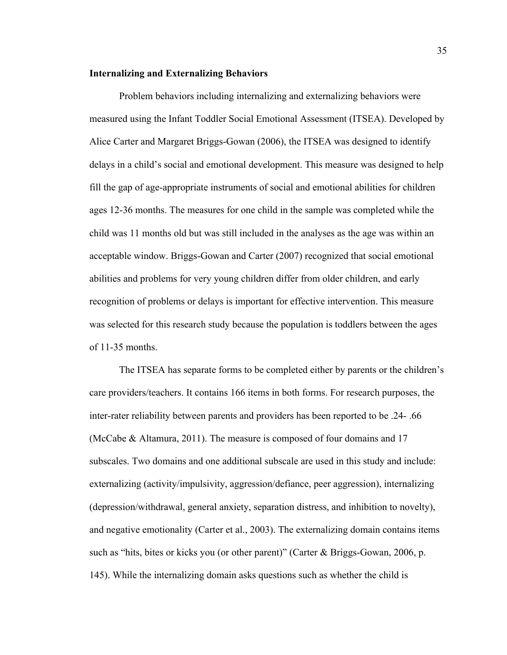#### **Internalizing and Externalizing Behaviors**

Problem behaviors including internalizing and externalizing behaviors were measured using the Infant Toddler Social Emotional Assessment (ITSEA). Developed by Alice Carter and Margaret Briggs-Gowan (2006), the ITSEA was designed to identify delays in a child's social and emotional development. This measure was designed to help fill the gap of age-appropriate instruments of social and emotional abilities for children ages 12-36 months. The measures for one child in the sample was completed while the child was 11 months old but was still included in the analyses as the age was within an acceptable window. Briggs-Gowan and Carter (2007) recognized that social emotional abilities and problems for very young children differ from older children, and early recognition of problems or delays is important for effective intervention. This measure was selected for this research study because the population is toddlers between the ages of 11-35 months.

The ITSEA has separate forms to be completed either by parents or the children's care providers/teachers. It contains 166 items in both forms. For research purposes, the inter-rater reliability between parents and providers has been reported to be .24- .66 (McCabe & Altamura, 2011). The measure is composed of four domains and 17 subscales. Two domains and one additional subscale are used in this study and include: externalizing (activity/impulsivity, aggression/defiance, peer aggression), internalizing (depression/withdrawal, general anxiety, separation distress, and inhibition to novelty), and negative emotionality (Carter et al., 2003). The externalizing domain contains items such as "hits, bites or kicks you (or other parent)" (Carter & Briggs-Gowan, 2006, p. 145). While the internalizing domain asks questions such as whether the child is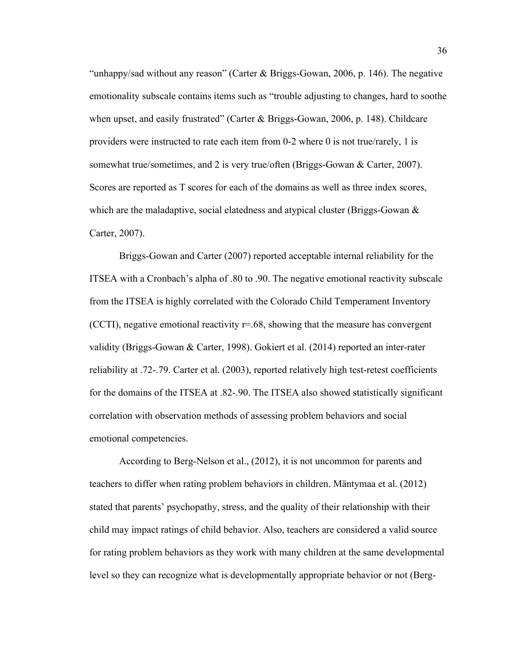"unhappy/sad without any reason" (Carter & Briggs-Gowan, 2006, p. 146). The negative emotionality subscale contains items such as "trouble adjusting to changes, hard to soothe when upset, and easily frustrated" (Carter & Briggs-Gowan, 2006, p. 148). Childcare providers were instructed to rate each item from 0-2 where 0 is not true/rarely, 1 is somewhat true/sometimes, and 2 is very true/often (Briggs-Gowan & Carter, 2007). Scores are reported as T scores for each of the domains as well as three index scores, which are the maladaptive, social elatedness and atypical cluster (Briggs-Gowan  $\&$ Carter, 2007).

Briggs-Gowan and Carter (2007) reported acceptable internal reliability for the ITSEA with a Cronbach's alpha of .80 to .90. The negative emotional reactivity subscale from the ITSEA is highly correlated with the Colorado Child Temperament Inventory (CCTI), negative emotional reactivity  $r=.68$ , showing that the measure has convergent validity (Briggs-Gowan & Carter, 1998). Gokiert et al. (2014) reported an inter-rater reliability at .72-.79. Carter et al. (2003), reported relatively high test-retest coefficients for the domains of the ITSEA at .82-.90. The ITSEA also showed statistically significant correlation with observation methods of assessing problem behaviors and social emotional competencies.

According to Berg-Nelson et al., (2012), it is not uncommon for parents and teachers to differ when rating problem behaviors in children. Mäntymaa et al. (2012) stated that parents' psychopathy, stress, and the quality of their relationship with their child may impact ratings of child behavior. Also, teachers are considered a valid source for rating problem behaviors as they work with many children at the same developmental level so they can recognize what is developmentally appropriate behavior or not (Berg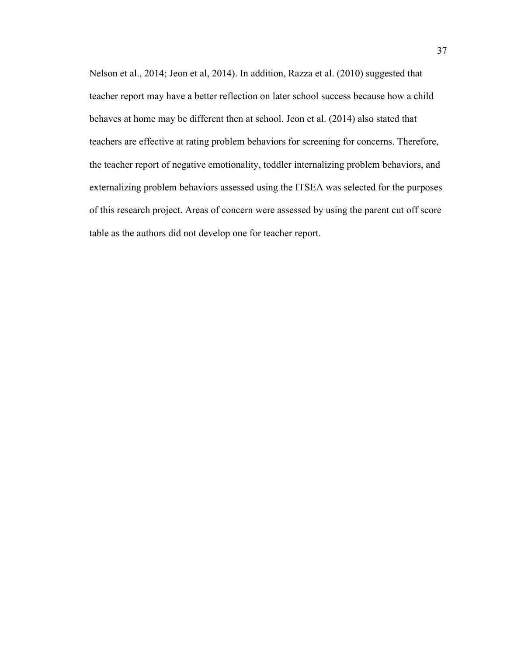Nelson et al., 2014; Jeon et al, 2014). In addition, Razza et al. (2010) suggested that teacher report may have a better reflection on later school success because how a child behaves at home may be different then at school. Jeon et al. (2014) also stated that teachers are effective at rating problem behaviors for screening for concerns. Therefore, the teacher report of negative emotionality, toddler internalizing problem behaviors, and externalizing problem behaviors assessed using the ITSEA was selected for the purposes of this research project. Areas of concern were assessed by using the parent cut off score table as the authors did not develop one for teacher report.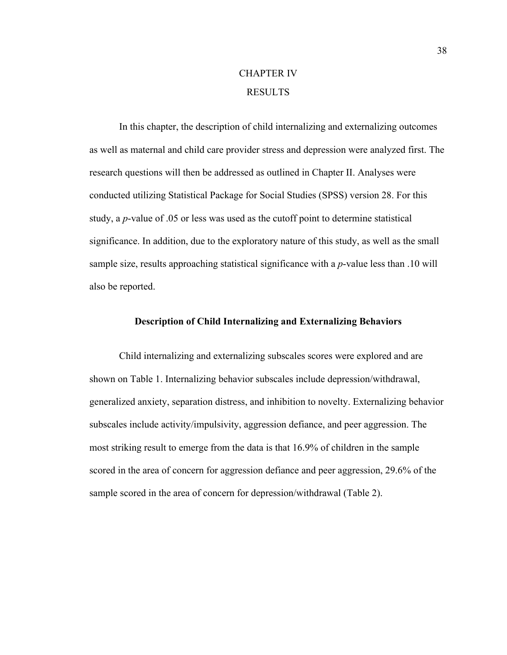## CHAPTER IV **RESULTS**

In this chapter, the description of child internalizing and externalizing outcomes as well as maternal and child care provider stress and depression were analyzed first. The research questions will then be addressed as outlined in Chapter II. Analyses were conducted utilizing Statistical Package for Social Studies (SPSS) version 28. For this study, a *p*-value of .05 or less was used as the cutoff point to determine statistical significance. In addition, due to the exploratory nature of this study, as well as the small sample size, results approaching statistical significance with a *p*-value less than .10 will also be reported.

## **Description of Child Internalizing and Externalizing Behaviors**

Child internalizing and externalizing subscales scores were explored and are shown on Table 1. Internalizing behavior subscales include depression/withdrawal, generalized anxiety, separation distress, and inhibition to novelty. Externalizing behavior subscales include activity/impulsivity, aggression defiance, and peer aggression. The most striking result to emerge from the data is that 16.9% of children in the sample scored in the area of concern for aggression defiance and peer aggression, 29.6% of the sample scored in the area of concern for depression/withdrawal (Table 2).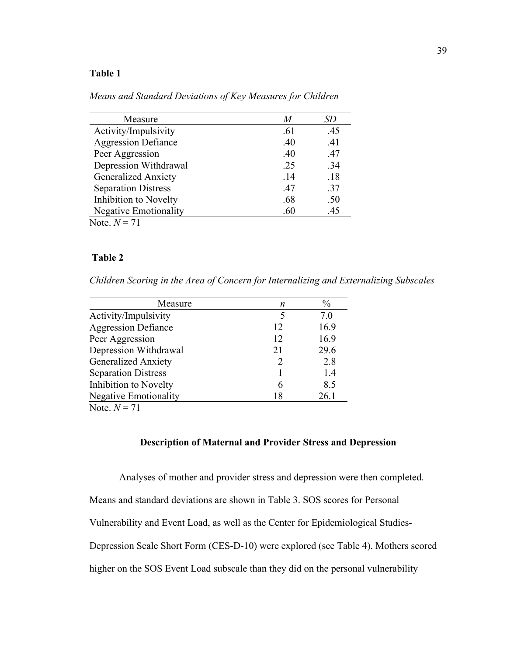| Measure                      | M   | SD  |
|------------------------------|-----|-----|
| Activity/Impulsivity         | .61 | .45 |
| <b>Aggression Defiance</b>   | .40 | .41 |
| Peer Aggression              | .40 | .47 |
| Depression Withdrawal        | .25 | .34 |
| <b>Generalized Anxiety</b>   | .14 | .18 |
| <b>Separation Distress</b>   | .47 | .37 |
| <b>Inhibition to Novelty</b> | .68 | .50 |
| <b>Negative Emotionality</b> | .60 | .45 |
| Note. $N = 71$               |     |     |

*Means and Standard Deviations of Key Measures for Children*

## **Table 2**

*Children Scoring in the Area of Concern for Internalizing and Externalizing Subscales*

| Measure                      | n                           | $\frac{0}{0}$ |
|------------------------------|-----------------------------|---------------|
| Activity/Impulsivity         | 5                           | 7.0           |
| <b>Aggression Defiance</b>   | 12                          | 16.9          |
| Peer Aggression              | 12                          | 16.9          |
| Depression Withdrawal        | 21                          | 29.6          |
| <b>Generalized Anxiety</b>   | $\mathcal{D}_{\mathcal{L}}$ | 2.8           |
| <b>Separation Distress</b>   |                             | 1.4           |
| Inhibition to Novelty        |                             | 8.5           |
| <b>Negative Emotionality</b> | 18                          | 26.1          |
|                              |                             |               |

Note.  $N = 71$ 

## **Description of Maternal and Provider Stress and Depression**

Analyses of mother and provider stress and depression were then completed. Means and standard deviations are shown in Table 3. SOS scores for Personal Vulnerability and Event Load, as well as the Center for Epidemiological Studies-Depression Scale Short Form (CES-D-10) were explored (see Table 4). Mothers scored higher on the SOS Event Load subscale than they did on the personal vulnerability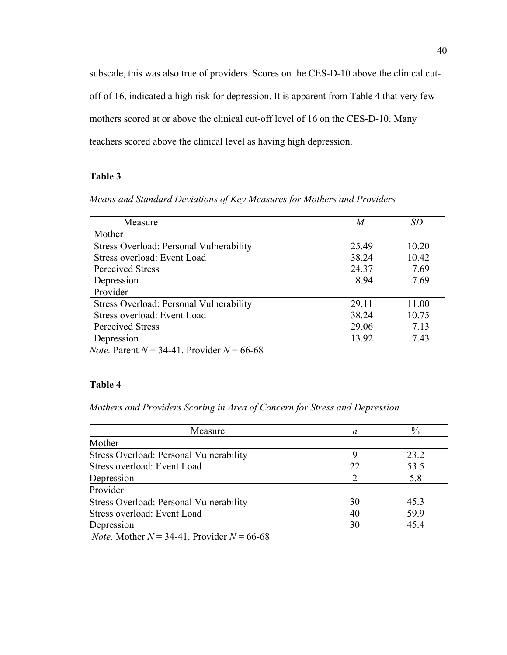subscale, this was also true of providers. Scores on the CES-D-10 above the clinical cutoff of 16, indicated a high risk for depression. It is apparent from Table 4 that very few mothers scored at or above the clinical cut-off level of 16 on the CES-D-10. Many teachers scored above the clinical level as having high depression.

## **Table 3**

*Means and Standard Deviations of Key Measures for Mothers and Providers*

| Measure                                                                                                                                                                                                                                                                                                                                                                                                             | M     | SD    |
|---------------------------------------------------------------------------------------------------------------------------------------------------------------------------------------------------------------------------------------------------------------------------------------------------------------------------------------------------------------------------------------------------------------------|-------|-------|
| Mother                                                                                                                                                                                                                                                                                                                                                                                                              |       |       |
| Stress Overload: Personal Vulnerability                                                                                                                                                                                                                                                                                                                                                                             | 25.49 | 10.20 |
| Stress overload: Event Load                                                                                                                                                                                                                                                                                                                                                                                         | 38.24 | 10.42 |
| <b>Perceived Stress</b>                                                                                                                                                                                                                                                                                                                                                                                             | 24.37 | 7.69  |
| Depression                                                                                                                                                                                                                                                                                                                                                                                                          | 8.94  | 7.69  |
| Provider                                                                                                                                                                                                                                                                                                                                                                                                            |       |       |
| Stress Overload: Personal Vulnerability                                                                                                                                                                                                                                                                                                                                                                             | 29.11 | 11.00 |
| Stress overload: Event Load                                                                                                                                                                                                                                                                                                                                                                                         | 38.24 | 10.75 |
| Perceived Stress                                                                                                                                                                                                                                                                                                                                                                                                    | 29.06 | 7.13  |
| Depression                                                                                                                                                                                                                                                                                                                                                                                                          | 13.92 | 7.43  |
| $\mathbf{1}$ $\mathbf{1}$ $\mathbf{1}$ $\mathbf{1}$ $\mathbf{1}$ $\mathbf{1}$ $\mathbf{1}$ $\mathbf{1}$ $\mathbf{1}$ $\mathbf{1}$ $\mathbf{1}$ $\mathbf{1}$ $\mathbf{1}$ $\mathbf{1}$ $\mathbf{1}$ $\mathbf{1}$ $\mathbf{1}$ $\mathbf{1}$ $\mathbf{1}$ $\mathbf{1}$ $\mathbf{1}$ $\mathbf{1}$ $\mathbf{1}$ $\mathbf{1}$ $\mathbf{$<br>$\mathbf{M}$ $\mathbf{D}$ $\mathbf{M}$ $\mathbf{M}$ $\mathbf{M}$ $\mathbf{M}$ |       |       |

*Note.* Parent *N* = 34-41. Provider *N* = 66-68

## **Table 4**

*Mothers and Providers Scoring in Area of Concern for Stress and Depression* 

| n  | $\%$ |
|----|------|
|    |      |
|    | 23.2 |
| 22 | 53.5 |
|    | 5.8  |
|    |      |
| 30 | 45.3 |
| 40 | 59.9 |
| 30 | 45.4 |
|    |      |

*Note.* Mother  $N = 34-41$ . Provider  $N = 66-68$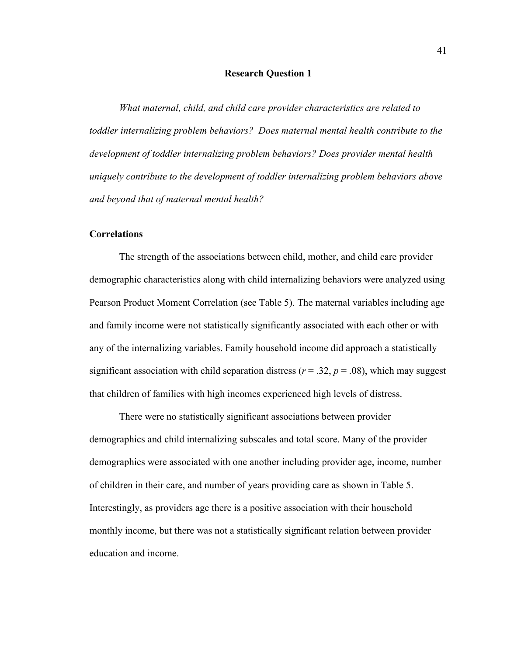## **Research Question 1**

*What maternal, child, and child care provider characteristics are related to toddler internalizing problem behaviors? Does maternal mental health contribute to the development of toddler internalizing problem behaviors? Does provider mental health uniquely contribute to the development of toddler internalizing problem behaviors above and beyond that of maternal mental health?*

## **Correlations**

The strength of the associations between child, mother, and child care provider demographic characteristics along with child internalizing behaviors were analyzed using Pearson Product Moment Correlation (see Table 5). The maternal variables including age and family income were not statistically significantly associated with each other or with any of the internalizing variables. Family household income did approach a statistically significant association with child separation distress ( $r = .32$ ,  $p = .08$ ), which may suggest that children of families with high incomes experienced high levels of distress.

There were no statistically significant associations between provider demographics and child internalizing subscales and total score. Many of the provider demographics were associated with one another including provider age, income, number of children in their care, and number of years providing care as shown in Table 5. Interestingly, as providers age there is a positive association with their household monthly income, but there was not a statistically significant relation between provider education and income.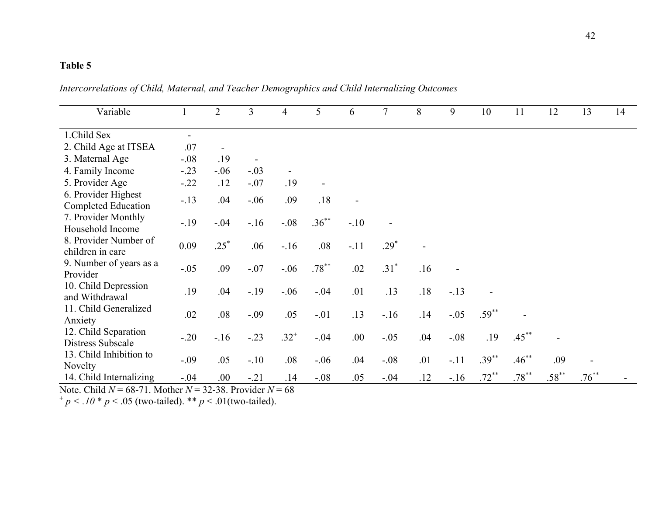| Variable                                          |        | $\overline{2}$ | 3      | 4         | 5                        | 6      | 7      | 8   | 9      | 10       | 11       | 12       | 13       | 14 |
|---------------------------------------------------|--------|----------------|--------|-----------|--------------------------|--------|--------|-----|--------|----------|----------|----------|----------|----|
| 1.Child Sex                                       |        |                |        |           |                          |        |        |     |        |          |          |          |          |    |
| 2. Child Age at ITSEA                             | .07    |                |        |           |                          |        |        |     |        |          |          |          |          |    |
| 3. Maternal Age                                   | $-.08$ | .19            |        |           |                          |        |        |     |        |          |          |          |          |    |
| 4. Family Income                                  | $-.23$ | $-.06$         | $-.03$ |           |                          |        |        |     |        |          |          |          |          |    |
| 5. Provider Age                                   | $-.22$ | .12            | $-.07$ | .19       | $\overline{\phantom{a}}$ |        |        |     |        |          |          |          |          |    |
| 6. Provider Highest<br><b>Completed Education</b> | $-.13$ | .04            | $-.06$ | .09       | .18                      |        |        |     |        |          |          |          |          |    |
| 7. Provider Monthly<br>Household Income           | $-.19$ | $-.04$         | $-.16$ | $-.08$    | $.36***$                 | $-.10$ |        |     |        |          |          |          |          |    |
| 8. Provider Number of<br>children in care         | 0.09   | $.25*$         | .06    | $-16$     | .08                      | $-.11$ | $.29*$ |     |        |          |          |          |          |    |
| 9. Number of years as a<br>Provider               | $-.05$ | .09            | $-.07$ | $-.06$    | $.78***$                 | .02    | $.31*$ | .16 |        |          |          |          |          |    |
| 10. Child Depression<br>and Withdrawal            | .19    | .04            | $-.19$ | $-.06$    | $-.04$                   | .01    | .13    | .18 | $-.13$ |          |          |          |          |    |
| 11. Child Generalized<br>Anxiety                  | .02    | .08            | $-.09$ | .05       | $-.01$                   | .13    | $-.16$ | .14 | $-.05$ | $.59***$ |          |          |          |    |
| 12. Child Separation<br>Distress Subscale         | $-.20$ | $-.16$         | $-.23$ | $.32^{+}$ | $-.04$                   | .00.   | $-.05$ | .04 | $-.08$ | .19      | $.45***$ |          |          |    |
| 13. Child Inhibition to<br>Novelty                | $-.09$ | .05            | $-.10$ | .08       | $-.06$                   | .04    | $-.08$ | .01 | $-.11$ | $.39***$ | $.46***$ | .09      |          |    |
| 14. Child Internalizing                           | $-.04$ | .00.           | $-.21$ | .14       | $-.08$                   | .05    | $-.04$ | .12 | $-.16$ | $.72***$ | $.78***$ | $.58***$ | $.76***$ |    |

*Intercorrelations of Child, Maternal, and Teacher Demographics and Child Internalizing Outcomes*

Note. Child *N* = 68-71. Mother *N* = 32-38. Provider *N* = 68

 $+p < .10 * p < .05$  (two-tailed). \*\*  $p < .01$  (two-tailed).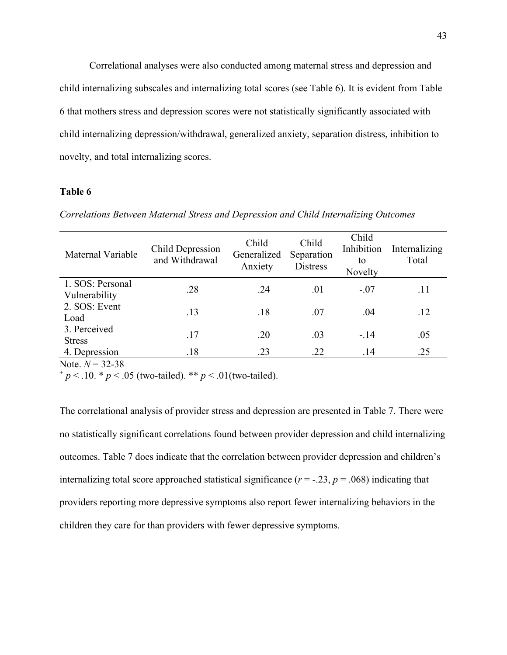Correlational analyses were also conducted among maternal stress and depression and child internalizing subscales and internalizing total scores (see Table 6). It is evident from Table 6 that mothers stress and depression scores were not statistically significantly associated with child internalizing depression/withdrawal, generalized anxiety, separation distress, inhibition to novelty, and total internalizing scores.

## **Table 6**

| Maternal Variable                 | Child Depression<br>and Withdrawal | Child<br>Generalized<br>Anxiety | Child<br>Separation<br><b>Distress</b> | Child<br>Inhibition<br>to<br>Novelty | Internalizing<br>Total |
|-----------------------------------|------------------------------------|---------------------------------|----------------------------------------|--------------------------------------|------------------------|
| 1. SOS: Personal<br>Vulnerability | .28                                | .24                             | .01                                    | $-.07$                               | .11                    |
| 2. SOS: Event<br>Load             | .13                                | .18                             | .07                                    | .04                                  | .12                    |
| 3. Perceived<br><b>Stress</b>     | .17                                | .20                             | .03                                    | $-.14$                               | .05                    |
| 4. Depression                     | .18                                | .23                             | .22                                    | .14                                  | .25                    |

*Correlations Between Maternal Stress and Depression and Child Internalizing Outcomes*

Note.  $N = 32 - 38$ 

 $+p < .10.$  \*  $p < .05$  (two-tailed). \*\*  $p < .01$  (two-tailed).

The correlational analysis of provider stress and depression are presented in Table 7. There were no statistically significant correlations found between provider depression and child internalizing outcomes. Table 7 does indicate that the correlation between provider depression and children's internalizing total score approached statistical significance  $(r = -.23, p = .068)$  indicating that providers reporting more depressive symptoms also report fewer internalizing behaviors in the children they care for than providers with fewer depressive symptoms.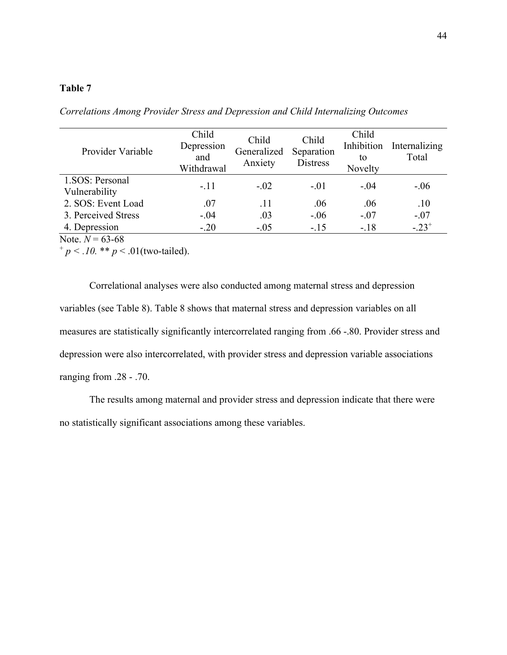| Provider Variable                | Child<br>Depression<br>and<br>Withdrawal | Child<br>Generalized<br>Anxiety | Child<br>Separation<br><b>Distress</b> | Child<br>Inhibition<br>to<br>Novelty | Internalizing<br>Total |
|----------------------------------|------------------------------------------|---------------------------------|----------------------------------------|--------------------------------------|------------------------|
| 1.SOS: Personal<br>Vulnerability | $-.11$                                   | $-.02$                          | $-.01$                                 | $-.04$                               | $-.06$                 |
| 2. SOS: Event Load               | .07                                      | .11                             | .06                                    | .06                                  | .10                    |
| 3. Perceived Stress              | $-.04$                                   | .03                             | $-.06$                                 | $-.07$                               | $-.07$                 |
| 4. Depression                    | $-.20$                                   | $-.05$                          | $-.15$                                 | $-.18$                               | $-.23+$                |

*Correlations Among Provider Stress and Depression and Child Internalizing Outcomes*

Note.  $N = 63-68$ 

 $^{+}p < .10.$  \*\*  $p < .01$  (two-tailed).

Correlational analyses were also conducted among maternal stress and depression variables (see Table 8). Table 8 shows that maternal stress and depression variables on all measures are statistically significantly intercorrelated ranging from .66 -.80. Provider stress and depression were also intercorrelated, with provider stress and depression variable associations ranging from .28 - .70.

The results among maternal and provider stress and depression indicate that there were no statistically significant associations among these variables.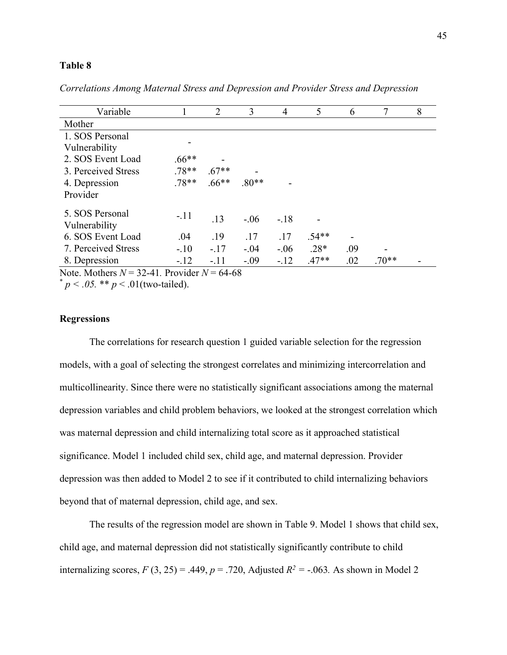| Variable                         |          | $\overline{2}$ | 3       | 4      | 5       | 6   |         | 8 |
|----------------------------------|----------|----------------|---------|--------|---------|-----|---------|---|
| Mother                           |          |                |         |        |         |     |         |   |
| 1. SOS Personal                  |          |                |         |        |         |     |         |   |
| Vulnerability                    |          |                |         |        |         |     |         |   |
| 2. SOS Event Load                | $.66***$ |                |         |        |         |     |         |   |
| 3. Perceived Stress              | $.78**$  | $.67**$        |         |        |         |     |         |   |
| 4. Depression                    | $.78**$  | $.66**$        | $.80**$ |        |         |     |         |   |
| Provider                         |          |                |         |        |         |     |         |   |
| 5. SOS Personal<br>Vulnerability | $-.11$   | .13            | $-.06$  | $-.18$ |         |     |         |   |
| 6. SOS Event Load                | .04      | .19            | .17     | .17    | $.54**$ |     |         |   |
| 7. Perceived Stress              | $-.10$   | $-.17$         | $-.04$  | $-.06$ | $.28*$  | .09 |         |   |
| 8. Depression                    | $-.12$   | $-.11$         | $-.09$  | $-12$  | $.47**$ | .02 | $.70**$ |   |

*Correlations Among Maternal Stress and Depression and Provider Stress and Depression*

Note. Mothers  $N = 32-41$ . Provider  $N = 64-68$ 

 $*$  *p* < .05. \*\* *p* < .01(two-tailed).

## **Regressions**

The correlations for research question 1 guided variable selection for the regression models, with a goal of selecting the strongest correlates and minimizing intercorrelation and multicollinearity. Since there were no statistically significant associations among the maternal depression variables and child problem behaviors, we looked at the strongest correlation which was maternal depression and child internalizing total score as it approached statistical significance. Model 1 included child sex, child age, and maternal depression. Provider depression was then added to Model 2 to see if it contributed to child internalizing behaviors beyond that of maternal depression, child age, and sex.

The results of the regression model are shown in Table 9. Model 1 shows that child sex, child age, and maternal depression did not statistically significantly contribute to child internalizing scores,  $F(3, 25) = .449$ ,  $p = .720$ , Adjusted  $R^2 = -.063$ . As shown in Model 2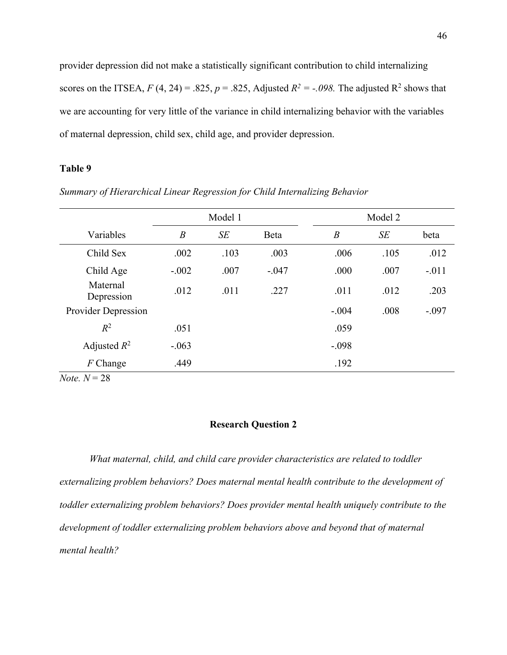provider depression did not make a statistically significant contribution to child internalizing scores on the ITSEA,  $F(4, 24) = .825$ ,  $p = .825$ , Adjusted  $R^2 = -.098$ . The adjusted  $R^2$  shows that we are accounting for very little of the variance in child internalizing behavior with the variables of maternal depression, child sex, child age, and provider depression.

## **Table 9**

|                        | Model 1          |      |         |                  | Model 2 |         |
|------------------------|------------------|------|---------|------------------|---------|---------|
| Variables              | $\boldsymbol{B}$ | SE   | Beta    | $\boldsymbol{B}$ | SE      | beta    |
| Child Sex              | .002             | .103 | .003    | .006             | .105    | .012    |
| Child Age              | $-.002$          | .007 | $-.047$ | .000             | .007    | $-.011$ |
| Maternal<br>Depression | .012             | .011 | .227    | .011             | .012    | .203    |
| Provider Depression    |                  |      |         | $-.004$          | .008    | $-.097$ |
| $R^2$                  | .051             |      |         | .059             |         |         |
| Adjusted $R^2$         | $-.063$          |      |         | $-.098$          |         |         |
| $F$ Change             | .449             |      |         | .192             |         |         |
| <i>Note</i> . $N = 28$ |                  |      |         |                  |         |         |

*Summary of Hierarchical Linear Regression for Child Internalizing Behavior* 

## **Research Question 2**

*What maternal, child, and child care provider characteristics are related to toddler externalizing problem behaviors? Does maternal mental health contribute to the development of toddler externalizing problem behaviors? Does provider mental health uniquely contribute to the development of toddler externalizing problem behaviors above and beyond that of maternal mental health?*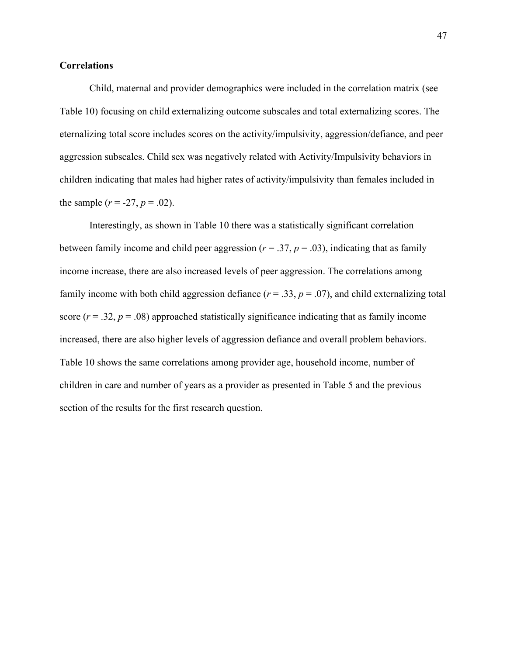## **Correlations**

Child, maternal and provider demographics were included in the correlation matrix (see Table 10) focusing on child externalizing outcome subscales and total externalizing scores. The eternalizing total score includes scores on the activity/impulsivity, aggression/defiance, and peer aggression subscales. Child sex was negatively related with Activity/Impulsivity behaviors in children indicating that males had higher rates of activity/impulsivity than females included in the sample  $(r = -27, p = .02)$ .

Interestingly, as shown in Table 10 there was a statistically significant correlation between family income and child peer aggression ( $r = .37$ ,  $p = .03$ ), indicating that as family income increase, there are also increased levels of peer aggression. The correlations among family income with both child aggression defiance  $(r = .33, p = .07)$ , and child externalizing total score  $(r = .32, p = .08)$  approached statistically significance indicating that as family income increased, there are also higher levels of aggression defiance and overall problem behaviors. Table 10 shows the same correlations among provider age, household income, number of children in care and number of years as a provider as presented in Table 5 and the previous section of the results for the first research question.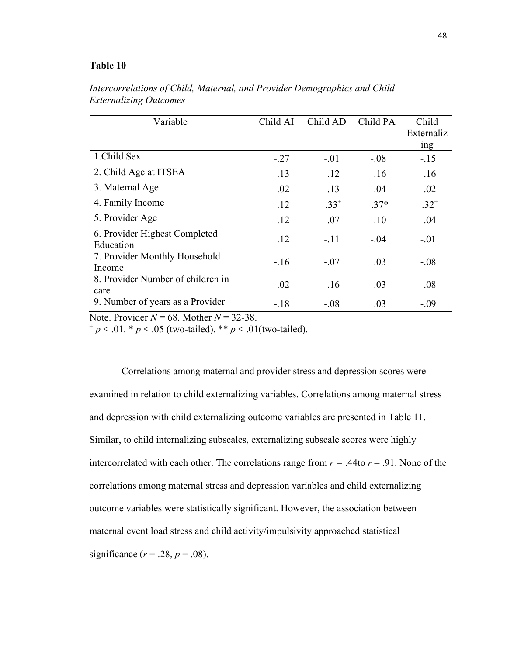| Variable                                   | Child AI | Child AD  | Child PA | Child<br>Externaliz |
|--------------------------------------------|----------|-----------|----------|---------------------|
|                                            |          |           |          | ing                 |
| 1.Child Sex                                | $-.27$   | $-.01$    | $-.08$   | $-.15$              |
| 2. Child Age at ITSEA                      | .13      | .12       | .16      | .16                 |
| 3. Maternal Age                            | .02      | $-.13$    | .04      | $-.02$              |
| 4. Family Income                           | .12      | $.33^{+}$ | $.37*$   | $.32^{+}$           |
| 5. Provider Age                            | $-.12$   | $-.07$    | .10      | $-.04$              |
| 6. Provider Highest Completed<br>Education | .12      | $-.11$    | $-.04$   | $-.01$              |
| 7. Provider Monthly Household<br>Income    | $-.16$   | $-.07$    | .03      | $-.08$              |
| 8. Provider Number of children in<br>care  | .02      | .16       | .03      | .08                 |
| 9. Number of years as a Provider           | $-.18$   | $-.08$    | .03      | $-.09$              |

*Intercorrelations of Child, Maternal, and Provider Demographics and Child Externalizing Outcomes*

Note. Provider  $N = 68$ . Mother  $N = 32-38$ .<br>
+  $p < .01$ . \*  $p < .05$  (two-tailed). \*\*  $p < .01$ (two-tailed).

Correlations among maternal and provider stress and depression scores were examined in relation to child externalizing variables. Correlations among maternal stress and depression with child externalizing outcome variables are presented in Table 11. Similar, to child internalizing subscales, externalizing subscale scores were highly intercorrelated with each other. The correlations range from  $r = .44$ to  $r = .91$ . None of the correlations among maternal stress and depression variables and child externalizing outcome variables were statistically significant. However, the association between maternal event load stress and child activity/impulsivity approached statistical significance  $(r=.28, p=.08)$ .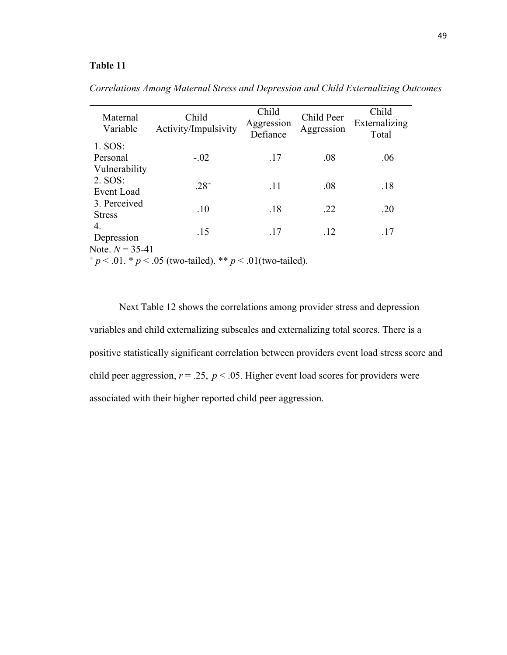| Maternal<br>Variable                 | Child<br>Activity/Impulsivity | Child<br>Aggression<br>Defiance | Child Peer<br>Aggression | Child<br>Externalizing<br>Total |
|--------------------------------------|-------------------------------|---------------------------------|--------------------------|---------------------------------|
| 1. SOS:<br>Personal<br>Vulnerability | $-.02$                        | .17                             | .08                      | .06                             |
| 2. SOS:<br><b>Event Load</b>         | $.28^{+}$                     | .11                             | .08                      | .18                             |
| 3. Perceived<br><b>Stress</b>        | .10                           | .18                             | .22                      | .20                             |
| 4.<br>Depression                     | .15                           | .17                             | .12                      | .17                             |

*Correlations Among Maternal Stress and Depression and Child Externalizing Outcomes*

Note.  $N = 35-41$ <br>  $^{+} p < .01. * p < .05$  (two-tailed). \*\*  $p < .01$  (two-tailed).

Next Table 12 shows the correlations among provider stress and depression variables and child externalizing subscales and externalizing total scores. There is a positive statistically significant correlation between providers event load stress score and child peer aggression,  $r = .25$ ,  $p < .05$ . Higher event load scores for providers were associated with their higher reported child peer aggression.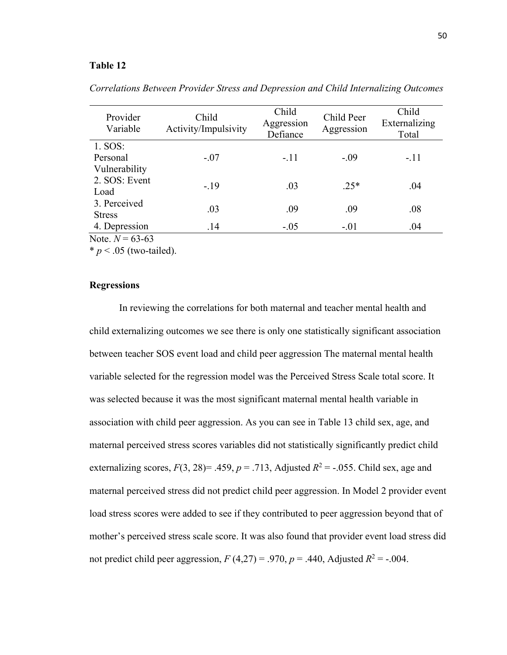| Provider<br>Variable                                                                                    | Child<br>Activity/Impulsivity | Child<br>Aggression<br>Defiance | Child Peer<br>Aggression | Child<br>Externalizing<br>Total |
|---------------------------------------------------------------------------------------------------------|-------------------------------|---------------------------------|--------------------------|---------------------------------|
| $1.$ SOS:                                                                                               |                               |                                 |                          |                                 |
| Personal                                                                                                | $-.07$                        | $-.11$                          | $-.09$                   | $-.11$                          |
| Vulnerability                                                                                           |                               |                                 |                          |                                 |
| 2. SOS: Event                                                                                           | $-.19$                        | .03                             | $.25*$                   | .04                             |
| Load                                                                                                    |                               |                                 |                          |                                 |
| 3. Perceived                                                                                            | .03                           | .09                             | .09                      | .08                             |
| <b>Stress</b>                                                                                           |                               |                                 |                          |                                 |
| 4. Depression                                                                                           | .14                           | $-.05$                          | $-.01$                   | .04                             |
| $\mathbf{y}$ $\mathbf{y}$ $\mathbf{y}$ $\mathbf{y}$ $\mathbf{y}$ $\mathbf{y}$ $\mathbf{y}$ $\mathbf{y}$ |                               |                                 |                          |                                 |

*Correlations Between Provider Stress and Depression and Child Internalizing Outcomes* 

Note.  $N = 63-63$ 

 $* p < .05$  (two-tailed).

#### **Regressions**

In reviewing the correlations for both maternal and teacher mental health and child externalizing outcomes we see there is only one statistically significant association between teacher SOS event load and child peer aggression The maternal mental health variable selected for the regression model was the Perceived Stress Scale total score. It was selected because it was the most significant maternal mental health variable in association with child peer aggression. As you can see in Table 13 child sex, age, and maternal perceived stress scores variables did not statistically significantly predict child externalizing scores,  $F(3, 28) = .459$ ,  $p = .713$ , Adjusted  $R^2 = -.055$ . Child sex, age and maternal perceived stress did not predict child peer aggression. In Model 2 provider event load stress scores were added to see if they contributed to peer aggression beyond that of mother's perceived stress scale score. It was also found that provider event load stress did not predict child peer aggression,  $F(4,27) = .970$ ,  $p = .440$ , Adjusted  $R^2 = -.004$ .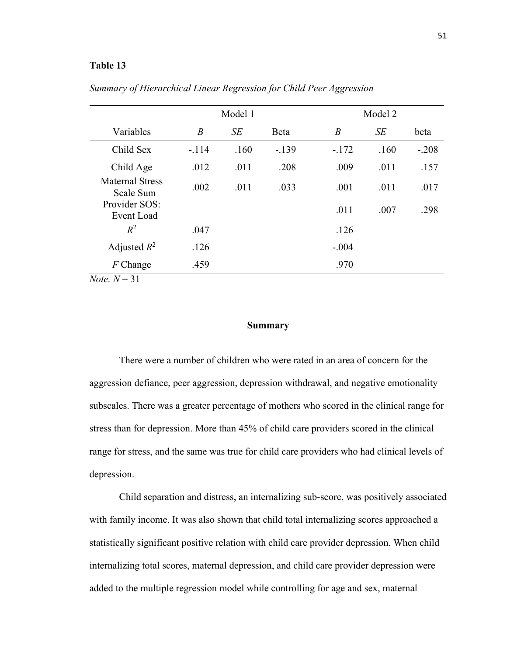|                                                       | Model 1          |      |         |                  | Model 2 |         |  |
|-------------------------------------------------------|------------------|------|---------|------------------|---------|---------|--|
| Variables                                             | $\boldsymbol{B}$ | SE   | Beta    | $\boldsymbol{B}$ | SE      | beta    |  |
| Child Sex                                             | $-.114$          | .160 | $-.139$ | $-.172$          | .160    | $-.208$ |  |
| Child Age                                             | .012             | .011 | .208    | .009             | .011    | .157    |  |
| <b>Maternal Stress</b><br>Scale Sum                   | .002             | .011 | .033    | .001             | .011    | .017    |  |
| Provider SOS:<br>Event Load                           |                  |      |         | .011             | .007    | .298    |  |
| $R^2$                                                 | .047             |      |         | .126             |         |         |  |
| Adjusted $R^2$                                        | .126             |      |         | $-.004$          |         |         |  |
| $F$ Change                                            | .459             |      |         | .970             |         |         |  |
| $\overline{M}_{0.4a}$ $\overline{M}$ $\overline{2}$ 1 |                  |      |         |                  |         |         |  |

*Summary of Hierarchical Linear Regression for Child Peer Aggression*

*Note.*  $N = 31$ 

## **Summary**

There were a number of children who were rated in an area of concern for the aggression defiance, peer aggression, depression withdrawal, and negative emotionality subscales. There was a greater percentage of mothers who scored in the clinical range for stress than for depression. More than 45% of child care providers scored in the clinical range for stress, and the same was true for child care providers who had clinical levels of depression.

Child separation and distress, an internalizing sub-score, was positively associated with family income. It was also shown that child total internalizing scores approached a statistically significant positive relation with child care provider depression. When child internalizing total scores, maternal depression, and child care provider depression were added to the multiple regression model while controlling for age and sex, maternal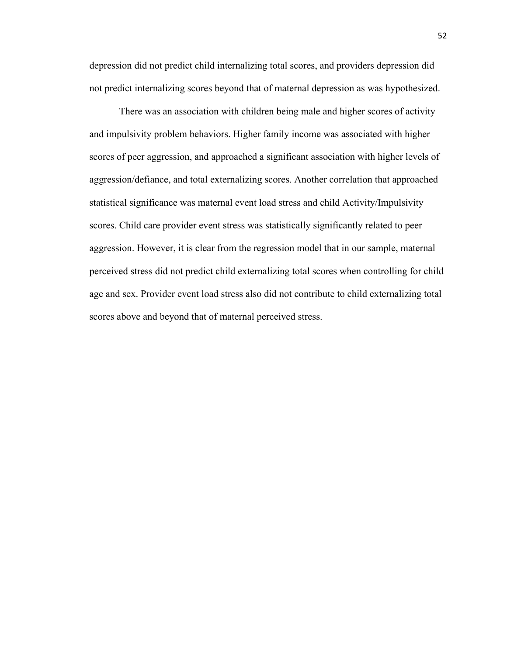depression did not predict child internalizing total scores, and providers depression did not predict internalizing scores beyond that of maternal depression as was hypothesized.

There was an association with children being male and higher scores of activity and impulsivity problem behaviors. Higher family income was associated with higher scores of peer aggression, and approached a significant association with higher levels of aggression/defiance, and total externalizing scores. Another correlation that approached statistical significance was maternal event load stress and child Activity/Impulsivity scores. Child care provider event stress was statistically significantly related to peer aggression. However, it is clear from the regression model that in our sample, maternal perceived stress did not predict child externalizing total scores when controlling for child age and sex. Provider event load stress also did not contribute to child externalizing total scores above and beyond that of maternal perceived stress.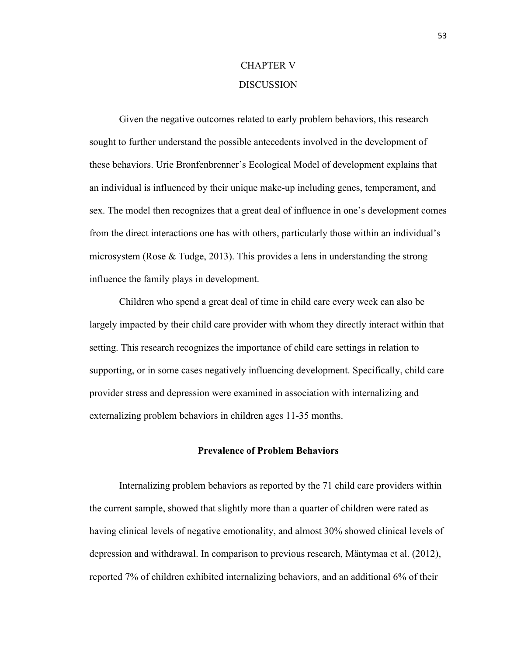## CHAPTER V DISCUSSION

Given the negative outcomes related to early problem behaviors, this research sought to further understand the possible antecedents involved in the development of these behaviors. Urie Bronfenbrenner's Ecological Model of development explains that an individual is influenced by their unique make-up including genes, temperament, and sex. The model then recognizes that a great deal of influence in one's development comes from the direct interactions one has with others, particularly those within an individual's microsystem (Rose & Tudge, 2013). This provides a lens in understanding the strong influence the family plays in development.

Children who spend a great deal of time in child care every week can also be largely impacted by their child care provider with whom they directly interact within that setting. This research recognizes the importance of child care settings in relation to supporting, or in some cases negatively influencing development. Specifically, child care provider stress and depression were examined in association with internalizing and externalizing problem behaviors in children ages 11-35 months.

## **Prevalence of Problem Behaviors**

Internalizing problem behaviors as reported by the 71 child care providers within the current sample, showed that slightly more than a quarter of children were rated as having clinical levels of negative emotionality, and almost 30% showed clinical levels of depression and withdrawal. In comparison to previous research, Mäntymaa et al. (2012), reported 7% of children exhibited internalizing behaviors, and an additional 6% of their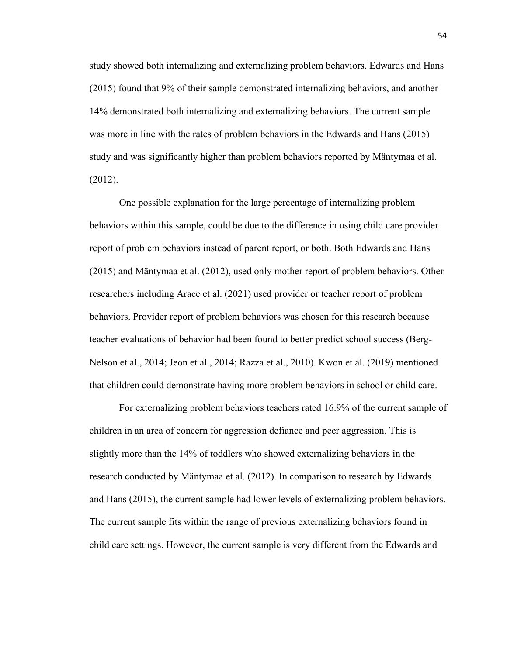study showed both internalizing and externalizing problem behaviors. Edwards and Hans (2015) found that 9% of their sample demonstrated internalizing behaviors, and another 14% demonstrated both internalizing and externalizing behaviors. The current sample was more in line with the rates of problem behaviors in the Edwards and Hans (2015) study and was significantly higher than problem behaviors reported by Mäntymaa et al. (2012).

One possible explanation for the large percentage of internalizing problem behaviors within this sample, could be due to the difference in using child care provider report of problem behaviors instead of parent report, or both. Both Edwards and Hans (2015) and Mäntymaa et al. (2012), used only mother report of problem behaviors. Other researchers including Arace et al. (2021) used provider or teacher report of problem behaviors. Provider report of problem behaviors was chosen for this research because teacher evaluations of behavior had been found to better predict school success (Berg-Nelson et al., 2014; Jeon et al., 2014; Razza et al., 2010). Kwon et al. (2019) mentioned that children could demonstrate having more problem behaviors in school or child care.

For externalizing problem behaviors teachers rated 16.9% of the current sample of children in an area of concern for aggression defiance and peer aggression. This is slightly more than the 14% of toddlers who showed externalizing behaviors in the research conducted by Mäntymaa et al. (2012). In comparison to research by Edwards and Hans (2015), the current sample had lower levels of externalizing problem behaviors. The current sample fits within the range of previous externalizing behaviors found in child care settings. However, the current sample is very different from the Edwards and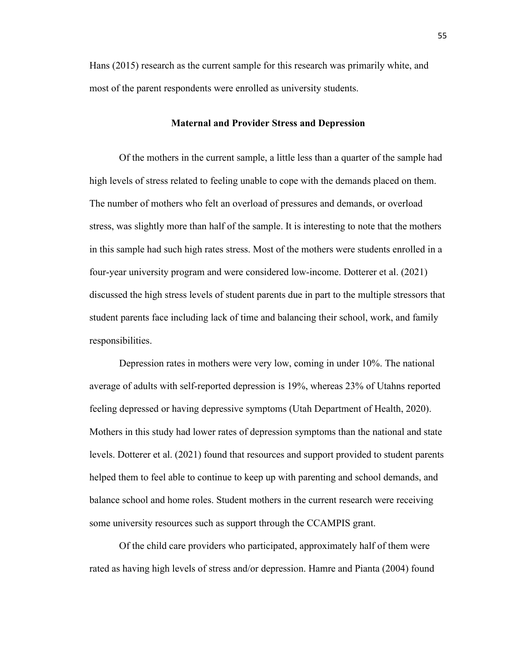Hans (2015) research as the current sample for this research was primarily white, and most of the parent respondents were enrolled as university students.

#### **Maternal and Provider Stress and Depression**

Of the mothers in the current sample, a little less than a quarter of the sample had high levels of stress related to feeling unable to cope with the demands placed on them. The number of mothers who felt an overload of pressures and demands, or overload stress, was slightly more than half of the sample. It is interesting to note that the mothers in this sample had such high rates stress. Most of the mothers were students enrolled in a four-year university program and were considered low-income. Dotterer et al. (2021) discussed the high stress levels of student parents due in part to the multiple stressors that student parents face including lack of time and balancing their school, work, and family responsibilities.

Depression rates in mothers were very low, coming in under 10%. The national average of adults with self-reported depression is 19%, whereas 23% of Utahns reported feeling depressed or having depressive symptoms (Utah Department of Health, 2020). Mothers in this study had lower rates of depression symptoms than the national and state levels. Dotterer et al. (2021) found that resources and support provided to student parents helped them to feel able to continue to keep up with parenting and school demands, and balance school and home roles. Student mothers in the current research were receiving some university resources such as support through the CCAMPIS grant.

Of the child care providers who participated, approximately half of them were rated as having high levels of stress and/or depression. Hamre and Pianta (2004) found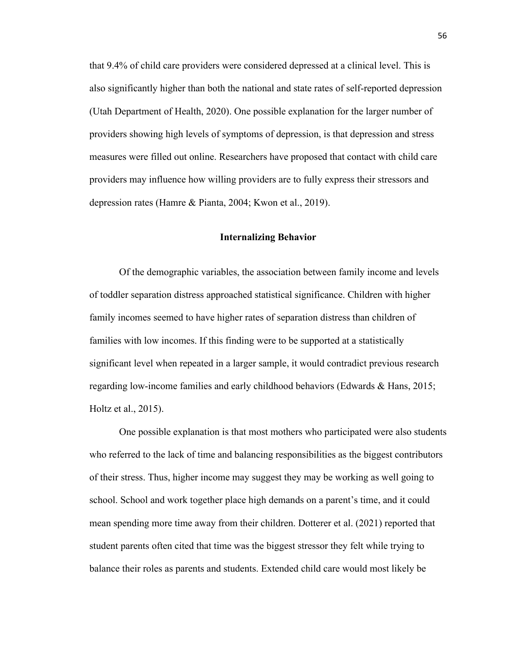that 9.4% of child care providers were considered depressed at a clinical level. This is also significantly higher than both the national and state rates of self-reported depression (Utah Department of Health, 2020). One possible explanation for the larger number of providers showing high levels of symptoms of depression, is that depression and stress measures were filled out online. Researchers have proposed that contact with child care providers may influence how willing providers are to fully express their stressors and depression rates (Hamre & Pianta, 2004; Kwon et al., 2019).

### **Internalizing Behavior**

Of the demographic variables, the association between family income and levels of toddler separation distress approached statistical significance. Children with higher family incomes seemed to have higher rates of separation distress than children of families with low incomes. If this finding were to be supported at a statistically significant level when repeated in a larger sample, it would contradict previous research regarding low-income families and early childhood behaviors (Edwards & Hans, 2015; Holtz et al., 2015).

One possible explanation is that most mothers who participated were also students who referred to the lack of time and balancing responsibilities as the biggest contributors of their stress. Thus, higher income may suggest they may be working as well going to school. School and work together place high demands on a parent's time, and it could mean spending more time away from their children. Dotterer et al. (2021) reported that student parents often cited that time was the biggest stressor they felt while trying to balance their roles as parents and students. Extended child care would most likely be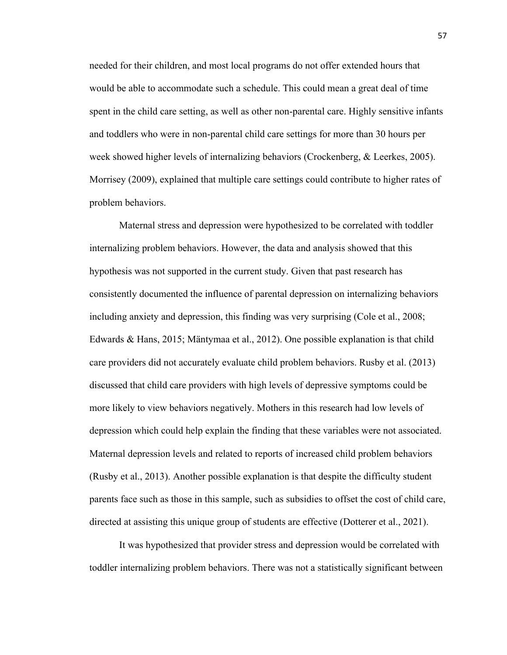needed for their children, and most local programs do not offer extended hours that would be able to accommodate such a schedule. This could mean a great deal of time spent in the child care setting, as well as other non-parental care. Highly sensitive infants and toddlers who were in non-parental child care settings for more than 30 hours per week showed higher levels of internalizing behaviors (Crockenberg, & Leerkes, 2005). Morrisey (2009), explained that multiple care settings could contribute to higher rates of problem behaviors.

Maternal stress and depression were hypothesized to be correlated with toddler internalizing problem behaviors. However, the data and analysis showed that this hypothesis was not supported in the current study. Given that past research has consistently documented the influence of parental depression on internalizing behaviors including anxiety and depression, this finding was very surprising (Cole et al., 2008; Edwards & Hans, 2015; Mäntymaa et al., 2012). One possible explanation is that child care providers did not accurately evaluate child problem behaviors. Rusby et al. (2013) discussed that child care providers with high levels of depressive symptoms could be more likely to view behaviors negatively. Mothers in this research had low levels of depression which could help explain the finding that these variables were not associated. Maternal depression levels and related to reports of increased child problem behaviors (Rusby et al., 2013). Another possible explanation is that despite the difficulty student parents face such as those in this sample, such as subsidies to offset the cost of child care, directed at assisting this unique group of students are effective (Dotterer et al., 2021).

It was hypothesized that provider stress and depression would be correlated with toddler internalizing problem behaviors. There was not a statistically significant between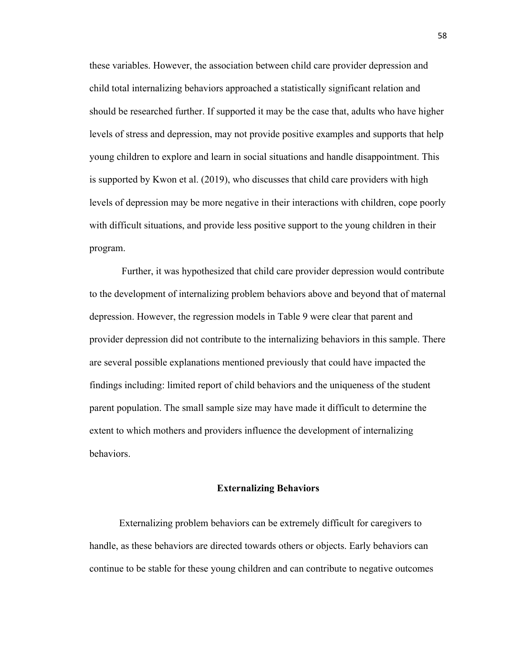these variables. However, the association between child care provider depression and child total internalizing behaviors approached a statistically significant relation and should be researched further. If supported it may be the case that, adults who have higher levels of stress and depression, may not provide positive examples and supports that help young children to explore and learn in social situations and handle disappointment. This is supported by Kwon et al. (2019), who discusses that child care providers with high levels of depression may be more negative in their interactions with children, cope poorly with difficult situations, and provide less positive support to the young children in their program.

Further, it was hypothesized that child care provider depression would contribute to the development of internalizing problem behaviors above and beyond that of maternal depression. However, the regression models in Table 9 were clear that parent and provider depression did not contribute to the internalizing behaviors in this sample. There are several possible explanations mentioned previously that could have impacted the findings including: limited report of child behaviors and the uniqueness of the student parent population. The small sample size may have made it difficult to determine the extent to which mothers and providers influence the development of internalizing behaviors.

## **Externalizing Behaviors**

Externalizing problem behaviors can be extremely difficult for caregivers to handle, as these behaviors are directed towards others or objects. Early behaviors can continue to be stable for these young children and can contribute to negative outcomes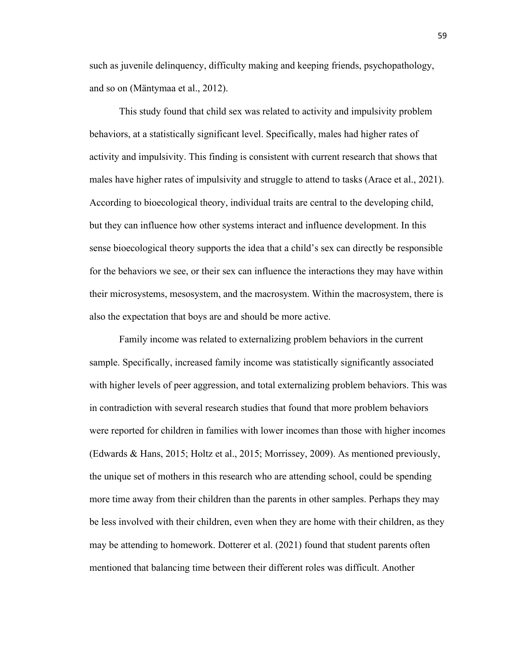such as juvenile delinquency, difficulty making and keeping friends, psychopathology, and so on (Mäntymaa et al., 2012).

This study found that child sex was related to activity and impulsivity problem behaviors, at a statistically significant level. Specifically, males had higher rates of activity and impulsivity. This finding is consistent with current research that shows that males have higher rates of impulsivity and struggle to attend to tasks (Arace et al., 2021). According to bioecological theory, individual traits are central to the developing child, but they can influence how other systems interact and influence development. In this sense bioecological theory supports the idea that a child's sex can directly be responsible for the behaviors we see, or their sex can influence the interactions they may have within their microsystems, mesosystem, and the macrosystem. Within the macrosystem, there is also the expectation that boys are and should be more active.

Family income was related to externalizing problem behaviors in the current sample. Specifically, increased family income was statistically significantly associated with higher levels of peer aggression, and total externalizing problem behaviors. This was in contradiction with several research studies that found that more problem behaviors were reported for children in families with lower incomes than those with higher incomes (Edwards & Hans, 2015; Holtz et al., 2015; Morrissey, 2009). As mentioned previously, the unique set of mothers in this research who are attending school, could be spending more time away from their children than the parents in other samples. Perhaps they may be less involved with their children, even when they are home with their children, as they may be attending to homework. Dotterer et al. (2021) found that student parents often mentioned that balancing time between their different roles was difficult. Another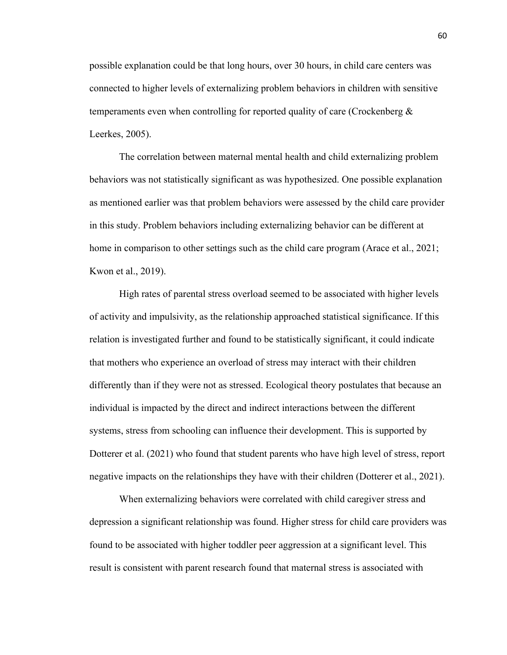possible explanation could be that long hours, over 30 hours, in child care centers was connected to higher levels of externalizing problem behaviors in children with sensitive temperaments even when controlling for reported quality of care (Crockenberg  $\&$ Leerkes, 2005).

The correlation between maternal mental health and child externalizing problem behaviors was not statistically significant as was hypothesized. One possible explanation as mentioned earlier was that problem behaviors were assessed by the child care provider in this study. Problem behaviors including externalizing behavior can be different at home in comparison to other settings such as the child care program (Arace et al., 2021; Kwon et al., 2019).

High rates of parental stress overload seemed to be associated with higher levels of activity and impulsivity, as the relationship approached statistical significance. If this relation is investigated further and found to be statistically significant, it could indicate that mothers who experience an overload of stress may interact with their children differently than if they were not as stressed. Ecological theory postulates that because an individual is impacted by the direct and indirect interactions between the different systems, stress from schooling can influence their development. This is supported by Dotterer et al. (2021) who found that student parents who have high level of stress, report negative impacts on the relationships they have with their children (Dotterer et al., 2021).

When externalizing behaviors were correlated with child caregiver stress and depression a significant relationship was found. Higher stress for child care providers was found to be associated with higher toddler peer aggression at a significant level. This result is consistent with parent research found that maternal stress is associated with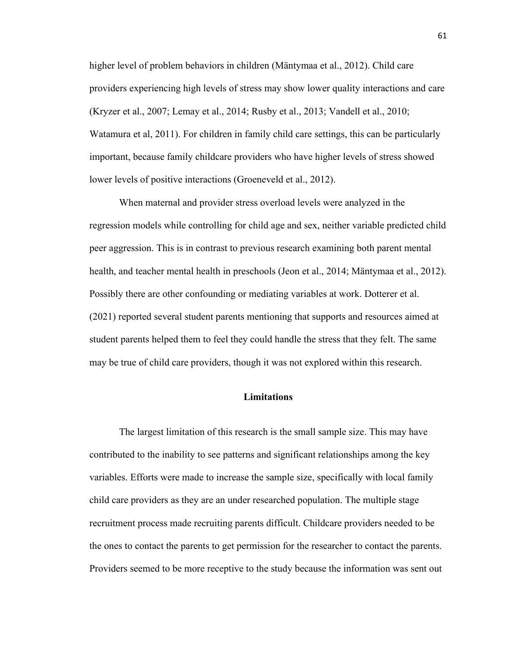higher level of problem behaviors in children (Mäntymaa et al., 2012). Child care providers experiencing high levels of stress may show lower quality interactions and care (Kryzer et al., 2007; Lemay et al., 2014; Rusby et al., 2013; Vandell et al., 2010; Watamura et al, 2011). For children in family child care settings, this can be particularly important, because family childcare providers who have higher levels of stress showed lower levels of positive interactions (Groeneveld et al., 2012).

When maternal and provider stress overload levels were analyzed in the regression models while controlling for child age and sex, neither variable predicted child peer aggression. This is in contrast to previous research examining both parent mental health, and teacher mental health in preschools (Jeon et al., 2014; Mäntymaa et al., 2012). Possibly there are other confounding or mediating variables at work. Dotterer et al. (2021) reported several student parents mentioning that supports and resources aimed at student parents helped them to feel they could handle the stress that they felt. The same may be true of child care providers, though it was not explored within this research.

## **Limitations**

The largest limitation of this research is the small sample size. This may have contributed to the inability to see patterns and significant relationships among the key variables. Efforts were made to increase the sample size, specifically with local family child care providers as they are an under researched population. The multiple stage recruitment process made recruiting parents difficult. Childcare providers needed to be the ones to contact the parents to get permission for the researcher to contact the parents. Providers seemed to be more receptive to the study because the information was sent out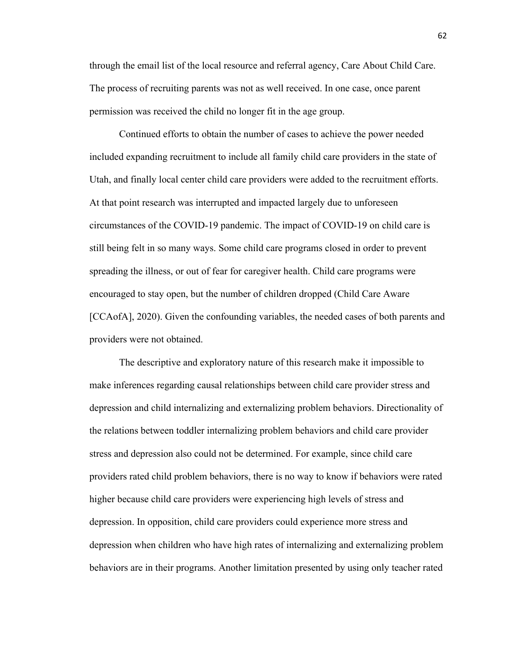through the email list of the local resource and referral agency, Care About Child Care. The process of recruiting parents was not as well received. In one case, once parent permission was received the child no longer fit in the age group.

Continued efforts to obtain the number of cases to achieve the power needed included expanding recruitment to include all family child care providers in the state of Utah, and finally local center child care providers were added to the recruitment efforts. At that point research was interrupted and impacted largely due to unforeseen circumstances of the COVID-19 pandemic. The impact of COVID-19 on child care is still being felt in so many ways. Some child care programs closed in order to prevent spreading the illness, or out of fear for caregiver health. Child care programs were encouraged to stay open, but the number of children dropped (Child Care Aware [CCAofA], 2020). Given the confounding variables, the needed cases of both parents and providers were not obtained.

The descriptive and exploratory nature of this research make it impossible to make inferences regarding causal relationships between child care provider stress and depression and child internalizing and externalizing problem behaviors. Directionality of the relations between toddler internalizing problem behaviors and child care provider stress and depression also could not be determined. For example, since child care providers rated child problem behaviors, there is no way to know if behaviors were rated higher because child care providers were experiencing high levels of stress and depression. In opposition, child care providers could experience more stress and depression when children who have high rates of internalizing and externalizing problem behaviors are in their programs. Another limitation presented by using only teacher rated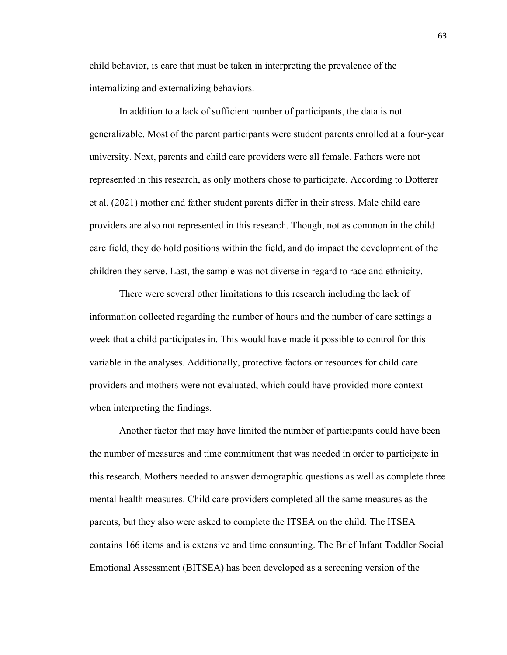child behavior, is care that must be taken in interpreting the prevalence of the internalizing and externalizing behaviors.

In addition to a lack of sufficient number of participants, the data is not generalizable. Most of the parent participants were student parents enrolled at a four-year university. Next, parents and child care providers were all female. Fathers were not represented in this research, as only mothers chose to participate. According to Dotterer et al. (2021) mother and father student parents differ in their stress. Male child care providers are also not represented in this research. Though, not as common in the child care field, they do hold positions within the field, and do impact the development of the children they serve. Last, the sample was not diverse in regard to race and ethnicity.

There were several other limitations to this research including the lack of information collected regarding the number of hours and the number of care settings a week that a child participates in. This would have made it possible to control for this variable in the analyses. Additionally, protective factors or resources for child care providers and mothers were not evaluated, which could have provided more context when interpreting the findings.

Another factor that may have limited the number of participants could have been the number of measures and time commitment that was needed in order to participate in this research. Mothers needed to answer demographic questions as well as complete three mental health measures. Child care providers completed all the same measures as the parents, but they also were asked to complete the ITSEA on the child. The ITSEA contains 166 items and is extensive and time consuming. The Brief Infant Toddler Social Emotional Assessment (BITSEA) has been developed as a screening version of the

63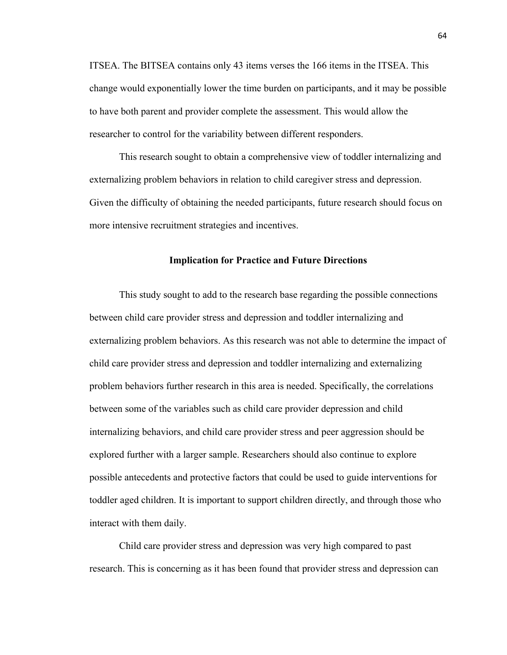ITSEA. The BITSEA contains only 43 items verses the 166 items in the ITSEA. This change would exponentially lower the time burden on participants, and it may be possible to have both parent and provider complete the assessment. This would allow the researcher to control for the variability between different responders.

This research sought to obtain a comprehensive view of toddler internalizing and externalizing problem behaviors in relation to child caregiver stress and depression. Given the difficulty of obtaining the needed participants, future research should focus on more intensive recruitment strategies and incentives.

## **Implication for Practice and Future Directions**

This study sought to add to the research base regarding the possible connections between child care provider stress and depression and toddler internalizing and externalizing problem behaviors. As this research was not able to determine the impact of child care provider stress and depression and toddler internalizing and externalizing problem behaviors further research in this area is needed. Specifically, the correlations between some of the variables such as child care provider depression and child internalizing behaviors, and child care provider stress and peer aggression should be explored further with a larger sample. Researchers should also continue to explore possible antecedents and protective factors that could be used to guide interventions for toddler aged children. It is important to support children directly, and through those who interact with them daily.

Child care provider stress and depression was very high compared to past research. This is concerning as it has been found that provider stress and depression can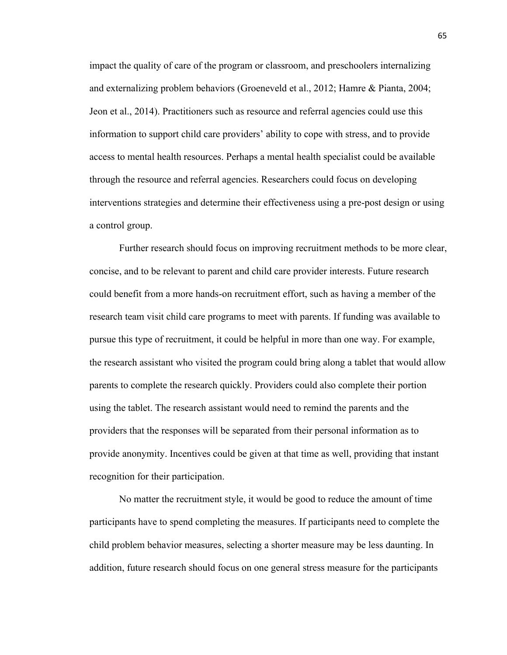impact the quality of care of the program or classroom, and preschoolers internalizing and externalizing problem behaviors (Groeneveld et al., 2012; Hamre & Pianta, 2004; Jeon et al., 2014). Practitioners such as resource and referral agencies could use this information to support child care providers' ability to cope with stress, and to provide access to mental health resources. Perhaps a mental health specialist could be available through the resource and referral agencies. Researchers could focus on developing interventions strategies and determine their effectiveness using a pre-post design or using a control group.

Further research should focus on improving recruitment methods to be more clear, concise, and to be relevant to parent and child care provider interests. Future research could benefit from a more hands-on recruitment effort, such as having a member of the research team visit child care programs to meet with parents. If funding was available to pursue this type of recruitment, it could be helpful in more than one way. For example, the research assistant who visited the program could bring along a tablet that would allow parents to complete the research quickly. Providers could also complete their portion using the tablet. The research assistant would need to remind the parents and the providers that the responses will be separated from their personal information as to provide anonymity. Incentives could be given at that time as well, providing that instant recognition for their participation.

No matter the recruitment style, it would be good to reduce the amount of time participants have to spend completing the measures. If participants need to complete the child problem behavior measures, selecting a shorter measure may be less daunting. In addition, future research should focus on one general stress measure for the participants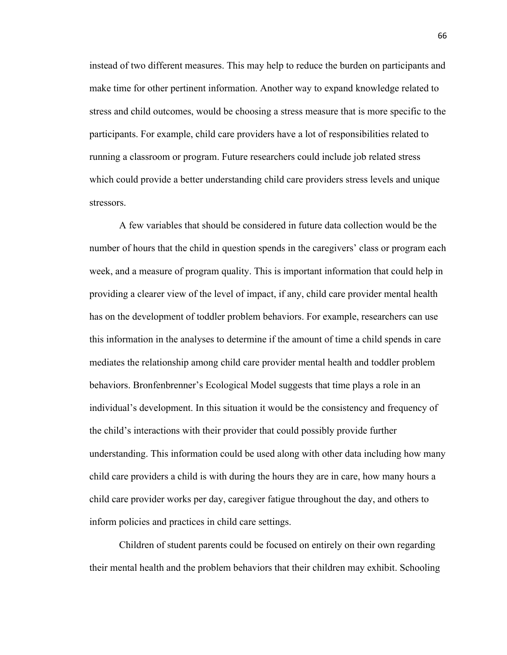instead of two different measures. This may help to reduce the burden on participants and make time for other pertinent information. Another way to expand knowledge related to stress and child outcomes, would be choosing a stress measure that is more specific to the participants. For example, child care providers have a lot of responsibilities related to running a classroom or program. Future researchers could include job related stress which could provide a better understanding child care providers stress levels and unique stressors.

A few variables that should be considered in future data collection would be the number of hours that the child in question spends in the caregivers' class or program each week, and a measure of program quality. This is important information that could help in providing a clearer view of the level of impact, if any, child care provider mental health has on the development of toddler problem behaviors. For example, researchers can use this information in the analyses to determine if the amount of time a child spends in care mediates the relationship among child care provider mental health and toddler problem behaviors. Bronfenbrenner's Ecological Model suggests that time plays a role in an individual's development. In this situation it would be the consistency and frequency of the child's interactions with their provider that could possibly provide further understanding. This information could be used along with other data including how many child care providers a child is with during the hours they are in care, how many hours a child care provider works per day, caregiver fatigue throughout the day, and others to inform policies and practices in child care settings.

Children of student parents could be focused on entirely on their own regarding their mental health and the problem behaviors that their children may exhibit. Schooling

66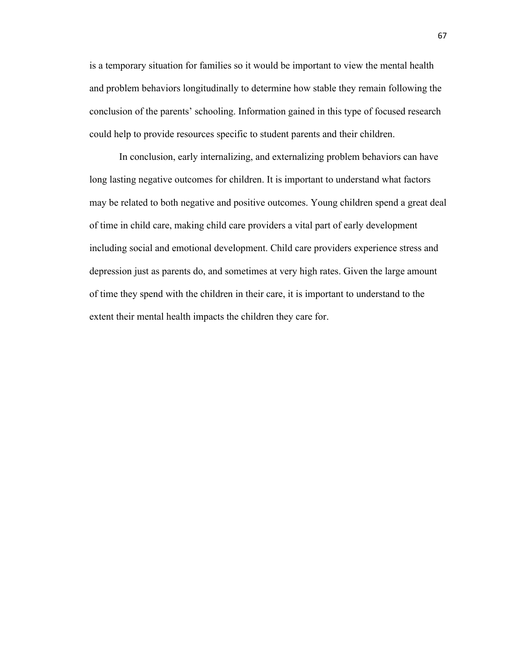is a temporary situation for families so it would be important to view the mental health and problem behaviors longitudinally to determine how stable they remain following the conclusion of the parents' schooling. Information gained in this type of focused research could help to provide resources specific to student parents and their children.

In conclusion, early internalizing, and externalizing problem behaviors can have long lasting negative outcomes for children. It is important to understand what factors may be related to both negative and positive outcomes. Young children spend a great deal of time in child care, making child care providers a vital part of early development including social and emotional development. Child care providers experience stress and depression just as parents do, and sometimes at very high rates. Given the large amount of time they spend with the children in their care, it is important to understand to the extent their mental health impacts the children they care for.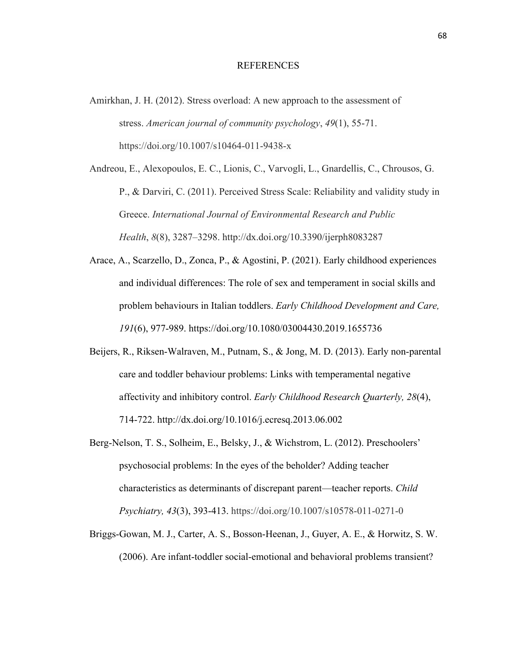## REFERENCES

Amirkhan, J. H. (2012). Stress overload: A new approach to the assessment of stress. *American journal of community psychology*, *49*(1), 55-71. https://doi.org/10.1007/s10464-011-9438-x

Andreou, E., Alexopoulos, E. C., Lionis, C., Varvogli, L., Gnardellis, C., Chrousos, G. P., & Darviri, C. (2011). Perceived Stress Scale: Reliability and validity study in Greece. *International Journal of Environmental Research and Public Health*, *8*(8), 3287–3298. http://dx.doi.org/10.3390/ijerph8083287

- Arace, A., Scarzello, D., Zonca, P., & Agostini, P. (2021). Early childhood experiences and individual differences: The role of sex and temperament in social skills and problem behaviours in Italian toddlers. *Early Childhood Development and Care, 191*(6), 977-989. https://doi.org/10.1080/03004430.2019.1655736
- Beijers, R., Riksen-Walraven, M., Putnam, S., & Jong, M. D. (2013). Early non-parental care and toddler behaviour problems: Links with temperamental negative affectivity and inhibitory control. *Early Childhood Research Quarterly, 28*(4), 714-722. http://dx.doi.org/10.1016/j.ecresq.2013.06.002
- Berg-Nelson, T. S., Solheim, E., Belsky, J., & Wichstrom, L. (2012). Preschoolers' psychosocial problems: In the eyes of the beholder? Adding teacher characteristics as determinants of discrepant parent—teacher reports. *Child Psychiatry, 43*(3), 393-413. https://doi.org/10.1007/s10578-011-0271-0
- Briggs-Gowan, M. J., Carter, A. S., Bosson-Heenan, J., Guyer, A. E., & Horwitz, S. W. (2006). Are infant-toddler social-emotional and behavioral problems transient?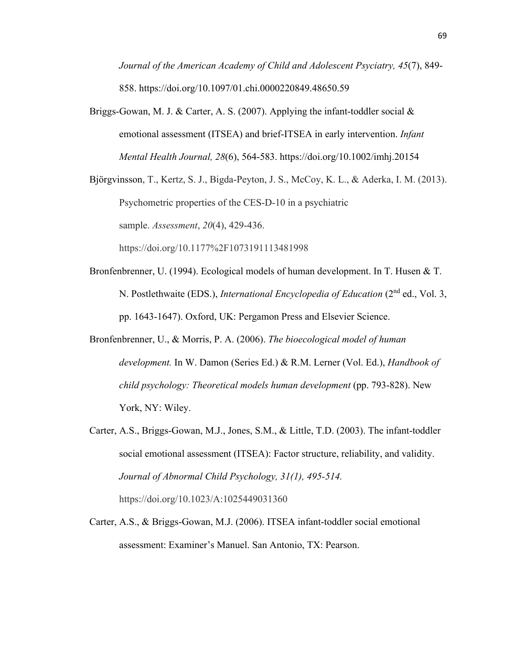*Journal of the American Academy of Child and Adolescent Psyciatry, 45*(7), 849- 858. https://doi.org/10.1097/01.chi.0000220849.48650.59

Briggs-Gowan, M. J. & Carter, A. S. (2007). Applying the infant-toddler social  $\&$ emotional assessment (ITSEA) and brief-ITSEA in early intervention. *Infant Mental Health Journal, 28*(6), 564-583. https://doi.org/10.1002/imhj.20154

Bjӧrgvinsson, T., Kertz, S. J., Bigda-Peyton, J. S., McCoy, K. L., & Aderka, I. M. (2013). Psychometric properties of the CES-D-10 in a psychiatric sample. *Assessment*, *20*(4), 429-436. https://doi.org/10.1177%2F1073191113481998

- Bronfenbrenner, U. (1994). Ecological models of human development. In T. Husen & T. N. Postlethwaite (EDS.), *International Encyclopedia of Education* (2<sup>nd</sup> ed., Vol. 3, pp. 1643-1647). Oxford, UK: Pergamon Press and Elsevier Science.
- Bronfenbrenner, U., & Morris, P. A. (2006). *The bioecological model of human development.* In W. Damon (Series Ed.) & R.M. Lerner (Vol. Ed.), *Handbook of child psychology: Theoretical models human development* (pp. 793-828). New York, NY: Wiley.
- Carter, A.S., Briggs-Gowan, M.J., Jones, S.M., & Little, T.D. (2003). The infant-toddler social emotional assessment (ITSEA): Factor structure, reliability, and validity. *Journal of Abnormal Child Psychology, 31(1), 495-514.*  https://doi.org/10.1023/A:1025449031360
- Carter, A.S., & Briggs-Gowan, M.J. (2006). ITSEA infant-toddler social emotional assessment: Examiner's Manuel. San Antonio, TX: Pearson.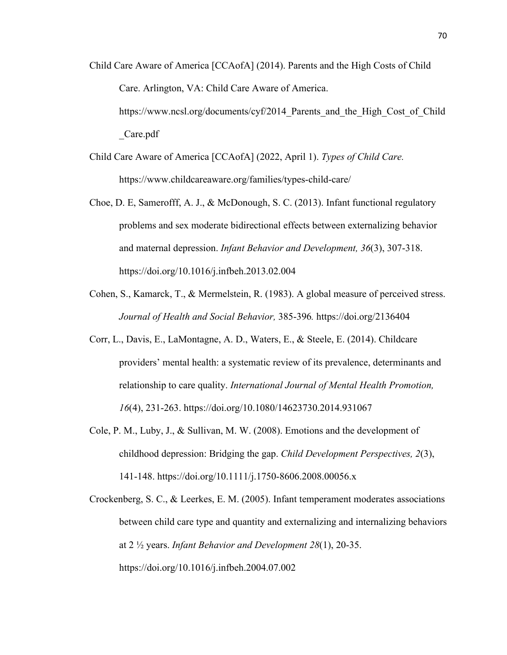- Child Care Aware of America [CCAofA] (2014). Parents and the High Costs of Child Care. Arlington, VA: Child Care Aware of America. https://www.ncsl.org/documents/cyf/2014 Parents and the High Cost of Child \_Care.pdf
- Child Care Aware of America [CCAofA] (2022, April 1). *Types of Child Care.*  https://www.childcareaware.org/families/types-child-care/
- Choe, D. E, Samerofff, A. J., & McDonough, S. C. (2013). Infant functional regulatory problems and sex moderate bidirectional effects between externalizing behavior and maternal depression. *Infant Behavior and Development, 36*(3), 307-318. https://doi.org/10.1016/j.infbeh.2013.02.004
- Cohen, S., Kamarck, T., & Mermelstein, R. (1983). A global measure of perceived stress. *Journal of Health and Social Behavior,* 385-396*.* https://doi.org/2136404
- Corr, L., Davis, E., LaMontagne, A. D., Waters, E., & Steele, E. (2014). Childcare providers' mental health: a systematic review of its prevalence, determinants and relationship to care quality. *International Journal of Mental Health Promotion, 16*(4), 231-263. https://doi.org/10.1080/14623730.2014.931067
- Cole, P. M., Luby, J., & Sullivan, M. W. (2008). Emotions and the development of childhood depression: Bridging the gap. *Child Development Perspectives, 2*(3), 141-148. https://doi.org/10.1111/j.1750-8606.2008.00056.x
- Crockenberg, S. C., & Leerkes, E. M. (2005). Infant temperament moderates associations between child care type and quantity and externalizing and internalizing behaviors at 2 ½ years. *Infant Behavior and Development 28*(1), 20-35. https://doi.org/10.1016/j.infbeh.2004.07.002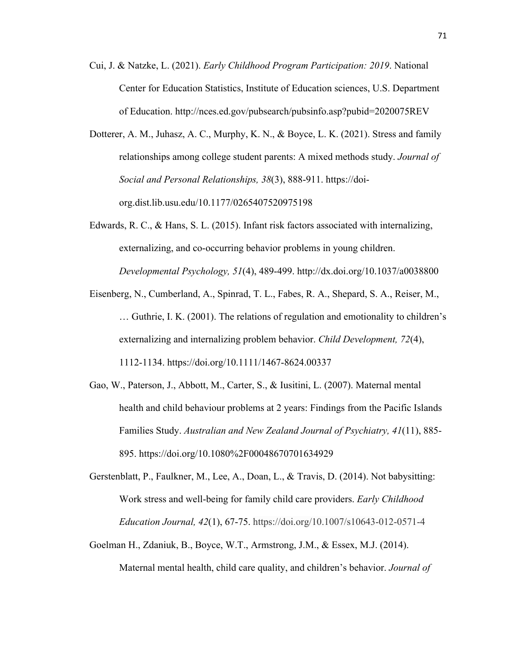- Cui, J. & Natzke, L. (2021). *Early Childhood Program Participation: 2019*. National Center for Education Statistics, Institute of Education sciences, U.S. Department of Education. http://nces.ed.gov/pubsearch/pubsinfo.asp?pubid=2020075REV
- Dotterer, A. M., Juhasz, A. C., Murphy, K. N., & Boyce, L. K. (2021). Stress and family relationships among college student parents: A mixed methods study. *Journal of Social and Personal Relationships, 38*(3), 888-911. https://doiorg.dist.lib.usu.edu/10.1177/0265407520975198
- Edwards, R. C., & Hans, S. L. (2015). Infant risk factors associated with internalizing, externalizing, and co-occurring behavior problems in young children. *Developmental Psychology, 51*(4), 489-499. http://dx.doi.org/10.1037/a0038800
- Eisenberg, N., Cumberland, A., Spinrad, T. L., Fabes, R. A., Shepard, S. A., Reiser, M., … Guthrie, I. K. (2001). The relations of regulation and emotionality to children's externalizing and internalizing problem behavior. *Child Development, 72*(4), 1112-1134. https://doi.org/10.1111/1467-8624.00337
- Gao, W., Paterson, J., Abbott, M., Carter, S., & Iusitini, L. (2007). Maternal mental health and child behaviour problems at 2 years: Findings from the Pacific Islands Families Study. *Australian and New Zealand Journal of Psychiatry, 41*(11), 885- 895. https://doi.org/10.1080%2F00048670701634929
- Gerstenblatt, P., Faulkner, M., Lee, A., Doan, L., & Travis, D. (2014). Not babysitting: Work stress and well-being for family child care providers. *Early Childhood Education Journal, 42*(1), 67-75. https://doi.org/10.1007/s10643-012-0571-4
- Goelman H., Zdaniuk, B., Boyce, W.T., Armstrong, J.M., & Essex, M.J. (2014). Maternal mental health, child care quality, and children's behavior. *Journal of*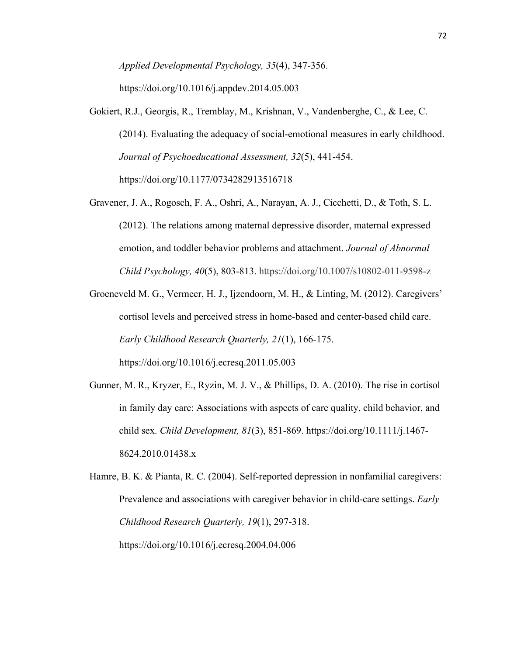*Applied Developmental Psychology, 35*(4), 347-356.

https://doi.org/10.1016/j.appdev.2014.05.003

- Gokiert, R.J., Georgis, R., Tremblay, M., Krishnan, V., Vandenberghe, C., & Lee, C. (2014). Evaluating the adequacy of social-emotional measures in early childhood. *Journal of Psychoeducational Assessment, 32*(5), 441-454. https://doi.org/10.1177/0734282913516718
- Gravener, J. A., Rogosch, F. A., Oshri, A., Narayan, A. J., Cicchetti, D., & Toth, S. L. (2012). The relations among maternal depressive disorder, maternal expressed emotion, and toddler behavior problems and attachment. *Journal of Abnormal Child Psychology, 40*(5), 803-813. https://doi.org/10.1007/s10802-011-9598-z
- Groeneveld M. G., Vermeer, H. J., Ijzendoorn, M. H., & Linting, M. (2012). Caregivers' cortisol levels and perceived stress in home-based and center-based child care. *Early Childhood Research Quarterly, 21*(1), 166-175. https://doi.org/10.1016/j.ecresq.2011.05.003
- Gunner, M. R., Kryzer, E., Ryzin, M. J. V., & Phillips, D. A. (2010). The rise in cortisol in family day care: Associations with aspects of care quality, child behavior, and child sex. *Child Development, 81*(3), 851-869. https://doi.org/10.1111/j.1467- 8624.2010.01438.x

Hamre, B. K. & Pianta, R. C. (2004). Self-reported depression in nonfamilial caregivers: Prevalence and associations with caregiver behavior in child-care settings. *Early Childhood Research Quarterly, 19*(1), 297-318. https://doi.org/10.1016/j.ecresq.2004.04.006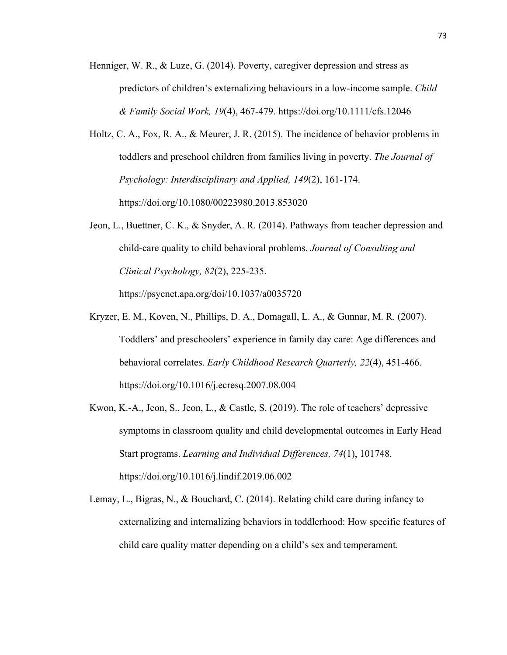- Henniger, W. R., & Luze, G. (2014). Poverty, caregiver depression and stress as predictors of children's externalizing behaviours in a low-income sample. *Child & Family Social Work, 19*(4), 467-479. https://doi.org/10.1111/cfs.12046
- Holtz, C. A., Fox, R. A., & Meurer, J. R. (2015). The incidence of behavior problems in toddlers and preschool children from families living in poverty. *The Journal of Psychology: Interdisciplinary and Applied, 149*(2), 161-174. https://doi.org/10.1080/00223980.2013.853020
- Jeon, L., Buettner, C. K., & Snyder, A. R. (2014). Pathways from teacher depression and child-care quality to child behavioral problems. *Journal of Consulting and Clinical Psychology, 82*(2), 225-235.

https://psycnet.apa.org/doi/10.1037/a0035720

- Kryzer, E. M., Koven, N., Phillips, D. A., Domagall, L. A., & Gunnar, M. R. (2007). Toddlers' and preschoolers' experience in family day care: Age differences and behavioral correlates. *Early Childhood Research Quarterly, 22*(4), 451-466. https://doi.org/10.1016/j.ecresq.2007.08.004
- Kwon, K.-A., Jeon, S., Jeon, L., & Castle, S. (2019). The role of teachers' depressive symptoms in classroom quality and child developmental outcomes in Early Head Start programs. *Learning and Individual Differences, 74*(1), 101748. https://doi.org/10.1016/j.lindif.2019.06.002
- Lemay, L., Bigras, N., & Bouchard, C. (2014). Relating child care during infancy to externalizing and internalizing behaviors in toddlerhood: How specific features of child care quality matter depending on a child's sex and temperament.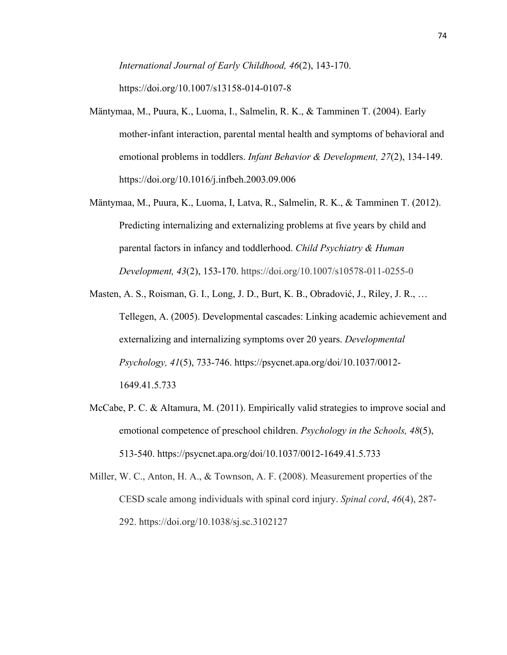*International Journal of Early Childhood, 46*(2), 143-170.

https://doi.org/10.1007/s13158-014-0107-8

- Mäntymaa, M., Puura, K., Luoma, I., Salmelin, R. K., & Tamminen T. (2004). Early mother-infant interaction, parental mental health and symptoms of behavioral and emotional problems in toddlers. *Infant Behavior & Development, 27*(2), 134-149. https://doi.org/10.1016/j.infbeh.2003.09.006
- Mäntymaa, M., Puura, K., Luoma, I, Latva, R., Salmelin, R. K., & Tamminen T. (2012). Predicting internalizing and externalizing problems at five years by child and parental factors in infancy and toddlerhood. *Child Psychiatry & Human Development, 43*(2), 153-170. https://doi.org/10.1007/s10578-011-0255-0
- Masten, A. S., Roisman, G. I., Long, J. D., Burt, K. B., Obradović, J., Riley, J. R., … Tellegen, A. (2005). Developmental cascades: Linking academic achievement and externalizing and internalizing symptoms over 20 years. *Developmental Psychology, 41*(5), 733-746. https://psycnet.apa.org/doi/10.1037/0012- 1649.41.5.733
- McCabe, P. C. & Altamura, M. (2011). Empirically valid strategies to improve social and emotional competence of preschool children. *Psychology in the Schools, 48*(5), 513-540. https://psycnet.apa.org/doi/10.1037/0012-1649.41.5.733

Miller, W. C., Anton, H. A., & Townson, A. F. (2008). Measurement properties of the CESD scale among individuals with spinal cord injury. *Spinal cord*, *46*(4), 287- 292. https://doi.org/10.1038/sj.sc.3102127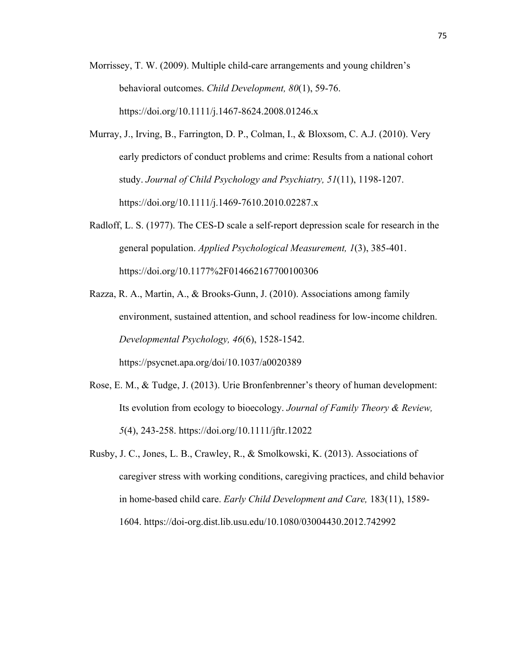- Morrissey, T. W. (2009). Multiple child-care arrangements and young children's behavioral outcomes. *Child Development, 80*(1), 59-76. https://doi.org/10.1111/j.1467-8624.2008.01246.x
- Murray, J., Irving, B., Farrington, D. P., Colman, I., & Bloxsom, C. A.J. (2010). Very early predictors of conduct problems and crime: Results from a national cohort study. *Journal of Child Psychology and Psychiatry, 51*(11), 1198-1207. https://doi.org/10.1111/j.1469-7610.2010.02287.x
- Radloff, L. S. (1977). The CES-D scale a self-report depression scale for research in the general population. *Applied Psychological Measurement, 1*(3), 385-401. https://doi.org/10.1177%2F014662167700100306
- Razza, R. A., Martin, A., & Brooks-Gunn, J. (2010). Associations among family environment, sustained attention, and school readiness for low-income children. *Developmental Psychology, 46*(6), 1528-1542. https://psycnet.apa.org/doi/10.1037/a0020389
- Rose, E. M., & Tudge, J. (2013). Urie Bronfenbrenner's theory of human development: Its evolution from ecology to bioecology. *Journal of Family Theory & Review, 5*(4), 243-258. https://doi.org/10.1111/jftr.12022
- Rusby, J. C., Jones, L. B., Crawley, R., & Smolkowski, K. (2013). Associations of caregiver stress with working conditions, caregiving practices, and child behavior in home-based child care. *Early Child Development and Care,* 183(11), 1589- 1604. https://doi-org.dist.lib.usu.edu/10.1080/03004430.2012.742992